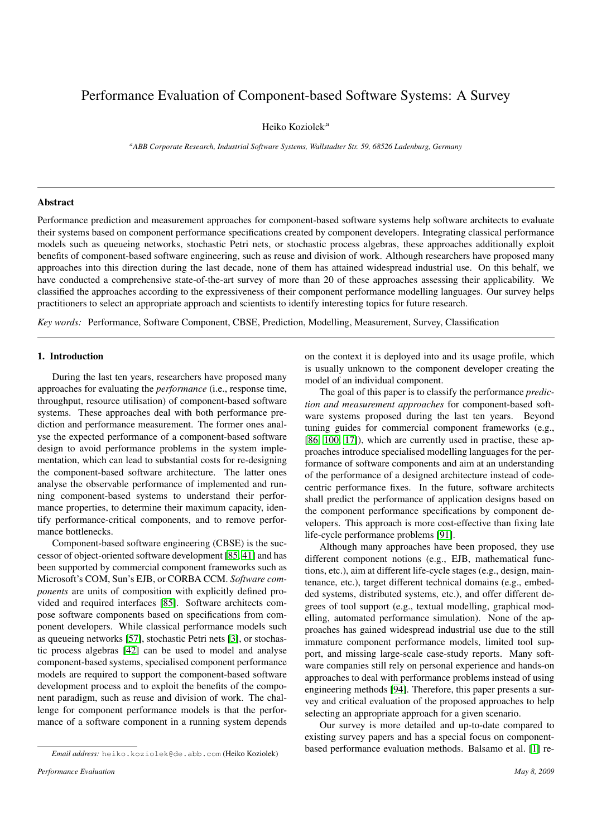# Performance Evaluation of Component-based Software Systems: A Survey

Heiko Koziolek<sup>a</sup>

*<sup>a</sup>ABB Corporate Research, Industrial Software Systems, Wallstadter Str. 59, 68526 Ladenburg, Germany*

### Abstract

Performance prediction and measurement approaches for component-based software systems help software architects to evaluate their systems based on component performance specifications created by component developers. Integrating classical performance models such as queueing networks, stochastic Petri nets, or stochastic process algebras, these approaches additionally exploit benefits of component-based software engineering, such as reuse and division of work. Although researchers have proposed many approaches into this direction during the last decade, none of them has attained widespread industrial use. On this behalf, we have conducted a comprehensive state-of-the-art survey of more than 20 of these approaches assessing their applicability. We classified the approaches according to the expressiveness of their component performance modelling languages. Our survey helps practitioners to select an appropriate approach and scientists to identify interesting topics for future research.

*Key words:* Performance, Software Component, CBSE, Prediction, Modelling, Measurement, Survey, Classification

### 1. Introduction

During the last ten years, researchers have proposed many approaches for evaluating the *performance* (i.e., response time, throughput, resource utilisation) of component-based software systems. These approaches deal with both performance prediction and performance measurement. The former ones analyse the expected performance of a component-based software design to avoid performance problems in the system implementation, which can lead to substantial costs for re-designing the component-based software architecture. The latter ones analyse the observable performance of implemented and running component-based systems to understand their performance properties, to determine their maximum capacity, identify performance-critical components, and to remove performance bottlenecks.

Component-based software engineering (CBSE) is the successor of object-oriented software development [\[85,](#page-21-0) [41\]](#page-20-0) and has been supported by commercial component frameworks such as Microsoft's COM, Sun's EJB, or CORBA CCM. *Software components* are units of composition with explicitly defined provided and required interfaces [\[85\]](#page-21-0). Software architects compose software components based on specifications from component developers. While classical performance models such as queueing networks [\[57\]](#page-20-1), stochastic Petri nets [\[3\]](#page-19-0), or stochastic process algebras [\[42\]](#page-20-2) can be used to model and analyse component-based systems, specialised component performance models are required to support the component-based software development process and to exploit the benefits of the component paradigm, such as reuse and division of work. The challenge for component performance models is that the performance of a software component in a running system depends

*Performance Evaluation May 8, 2009*

on the context it is deployed into and its usage profile, which is usually unknown to the component developer creating the model of an individual component.

The goal of this paper is to classify the performance *prediction and measurement approaches* for component-based software systems proposed during the last ten years. Beyond tuning guides for commercial component frameworks (e.g., [\[86,](#page-21-1) [100,](#page-21-2) [17\]](#page-19-1)), which are currently used in practise, these approaches introduce specialised modelling languages for the performance of software components and aim at an understanding of the performance of a designed architecture instead of codecentric performance fixes. In the future, software architects shall predict the performance of application designs based on the component performance specifications by component developers. This approach is more cost-effective than fixing late life-cycle performance problems [\[91\]](#page-21-3).

Although many approaches have been proposed, they use different component notions (e.g., EJB, mathematical functions, etc.), aim at different life-cycle stages (e.g., design, maintenance, etc.), target different technical domains (e.g., embedded systems, distributed systems, etc.), and offer different degrees of tool support (e.g., textual modelling, graphical modelling, automated performance simulation). None of the approaches has gained widespread industrial use due to the still immature component performance models, limited tool support, and missing large-scale case-study reports. Many software companies still rely on personal experience and hands-on approaches to deal with performance problems instead of using engineering methods [\[94\]](#page-21-4). Therefore, this paper presents a survey and critical evaluation of the proposed approaches to help selecting an appropriate approach for a given scenario.

Our survey is more detailed and up-to-date compared to existing survey papers and has a special focus on componentbased performance evaluation methods. Balsamo et al. [\[1\]](#page-19-2) re-

*Email address:* heiko.koziolek@de.abb.com (Heiko Koziolek)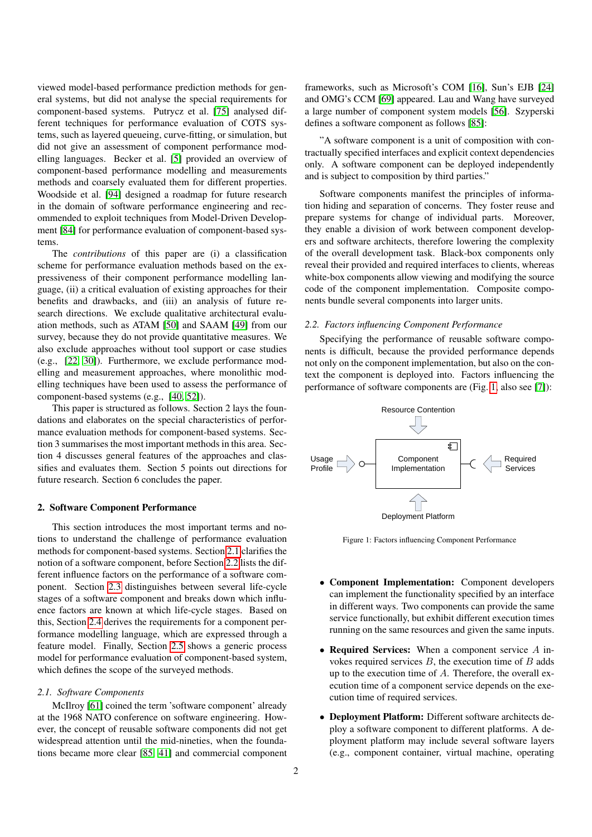viewed model-based performance prediction methods for general systems, but did not analyse the special requirements for component-based systems. Putrycz et al. [\[75\]](#page-20-3) analysed different techniques for performance evaluation of COTS systems, such as layered queueing, curve-fitting, or simulation, but did not give an assessment of component performance modelling languages. Becker et al. [\[5\]](#page-19-3) provided an overview of component-based performance modelling and measurements methods and coarsely evaluated them for different properties. Woodside et al. [\[94\]](#page-21-4) designed a roadmap for future research in the domain of software performance engineering and recommended to exploit techniques from Model-Driven Development [\[84\]](#page-21-5) for performance evaluation of component-based systems.

The *contributions* of this paper are (i) a classification scheme for performance evaluation methods based on the expressiveness of their component performance modelling language, (ii) a critical evaluation of existing approaches for their benefits and drawbacks, and (iii) an analysis of future research directions. We exclude qualitative architectural evaluation methods, such as ATAM [\[50\]](#page-20-4) and SAAM [\[49\]](#page-20-5) from our survey, because they do not provide quantitative measures. We also exclude approaches without tool support or case studies (e.g., [\[22,](#page-19-4) [30\]](#page-19-5)). Furthermore, we exclude performance modelling and measurement approaches, where monolithic modelling techniques have been used to assess the performance of component-based systems (e.g., [\[40,](#page-20-6) [52\]](#page-20-7)).

This paper is structured as follows. Section 2 lays the foundations and elaborates on the special characteristics of performance evaluation methods for component-based systems. Section 3 summarises the most important methods in this area. Section 4 discusses general features of the approaches and classifies and evaluates them. Section 5 points out directions for future research. Section 6 concludes the paper.

### 2. Software Component Performance

This section introduces the most important terms and notions to understand the challenge of performance evaluation methods for component-based systems. Section [2.1](#page-1-0) clarifies the notion of a software component, before Section [2.2](#page-1-1) lists the different influence factors on the performance of a software component. Section [2.3](#page-2-0) distinguishes between several life-cycle stages of a software component and breaks down which influence factors are known at which life-cycle stages. Based on this, Section [2.4](#page-2-1) derives the requirements for a component performance modelling language, which are expressed through a feature model. Finally, Section [2.5](#page-4-0) shows a generic process model for performance evaluation of component-based system, which defines the scope of the surveyed methods.

### <span id="page-1-0"></span>*2.1. Software Components*

McIlroy [\[61\]](#page-20-8) coined the term 'software component' already at the 1968 NATO conference on software engineering. However, the concept of reusable software components did not get widespread attention until the mid-nineties, when the foundations became more clear [\[85,](#page-21-0) [41\]](#page-20-0) and commercial component

frameworks, such as Microsoft's COM [\[16\]](#page-19-6), Sun's EJB [\[24\]](#page-19-7) and OMG's CCM [\[69\]](#page-20-9) appeared. Lau and Wang have surveyed a large number of component system models [\[56\]](#page-20-10). Szyperski defines a software component as follows [\[85\]](#page-21-0):

"A software component is a unit of composition with contractually specified interfaces and explicit context dependencies only. A software component can be deployed independently and is subject to composition by third parties."

Software components manifest the principles of information hiding and separation of concerns. They foster reuse and prepare systems for change of individual parts. Moreover, they enable a division of work between component developers and software architects, therefore lowering the complexity of the overall development task. Black-box components only reveal their provided and required interfaces to clients, whereas white-box components allow viewing and modifying the source code of the component implementation. Composite components bundle several components into larger units.

### <span id="page-1-1"></span>*2.2. Factors influencing Component Performance*

Specifying the performance of reusable software components is difficult, because the provided performance depends not only on the component implementation, but also on the context the component is deployed into. Factors influencing the performance of software components are (Fig. [1,](#page-1-2) also see [\[7\]](#page-19-8)):



<span id="page-1-2"></span>Figure 1: Factors influencing Component Performance

- Component Implementation: Component developers can implement the functionality specified by an interface in different ways. Two components can provide the same service functionally, but exhibit different execution times running on the same resources and given the same inputs.
- Required Services: When a component service  $A$  invokes required services  $B$ , the execution time of  $B$  adds up to the execution time of A. Therefore, the overall execution time of a component service depends on the execution time of required services.
- Deployment Platform: Different software architects deploy a software component to different platforms. A deployment platform may include several software layers (e.g., component container, virtual machine, operating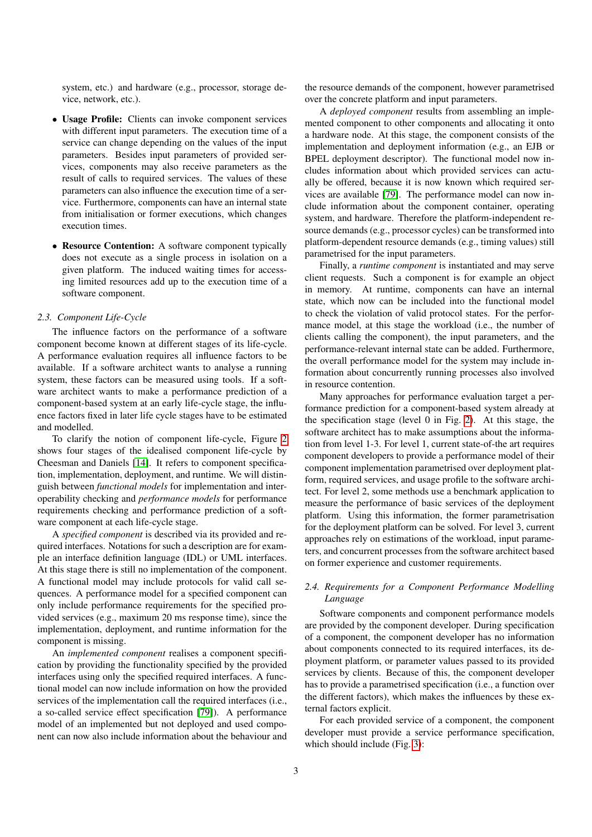system, etc.) and hardware (e.g., processor, storage device, network, etc.).

- Usage Profile: Clients can invoke component services with different input parameters. The execution time of a service can change depending on the values of the input parameters. Besides input parameters of provided services, components may also receive parameters as the result of calls to required services. The values of these parameters can also influence the execution time of a service. Furthermore, components can have an internal state from initialisation or former executions, which changes execution times.
- Resource Contention: A software component typically does not execute as a single process in isolation on a given platform. The induced waiting times for accessing limited resources add up to the execution time of a software component.

#### <span id="page-2-0"></span>*2.3. Component Life-Cycle*

The influence factors on the performance of a software component become known at different stages of its life-cycle. A performance evaluation requires all influence factors to be available. If a software architect wants to analyse a running system, these factors can be measured using tools. If a software architect wants to make a performance prediction of a component-based system at an early life-cycle stage, the influence factors fixed in later life cycle stages have to be estimated and modelled.

To clarify the notion of component life-cycle, Figure [2](#page-3-0) shows four stages of the idealised component life-cycle by Cheesman and Daniels [\[14\]](#page-19-9). It refers to component specification, implementation, deployment, and runtime. We will distinguish between *functional models* for implementation and interoperability checking and *performance models* for performance requirements checking and performance prediction of a software component at each life-cycle stage.

A *specified component* is described via its provided and required interfaces. Notations for such a description are for example an interface definition language (IDL) or UML interfaces. At this stage there is still no implementation of the component. A functional model may include protocols for valid call sequences. A performance model for a specified component can only include performance requirements for the specified provided services (e.g., maximum 20 ms response time), since the implementation, deployment, and runtime information for the component is missing.

An *implemented component* realises a component specification by providing the functionality specified by the provided interfaces using only the specified required interfaces. A functional model can now include information on how the provided services of the implementation call the required interfaces (i.e., a so-called service effect specification [\[79\]](#page-21-6)). A performance model of an implemented but not deployed and used component can now also include information about the behaviour and the resource demands of the component, however parametrised over the concrete platform and input parameters.

A *deployed component* results from assembling an implemented component to other components and allocating it onto a hardware node. At this stage, the component consists of the implementation and deployment information (e.g., an EJB or BPEL deployment descriptor). The functional model now includes information about which provided services can actually be offered, because it is now known which required services are available [\[79\]](#page-21-6). The performance model can now include information about the component container, operating system, and hardware. Therefore the platform-independent resource demands (e.g., processor cycles) can be transformed into platform-dependent resource demands (e.g., timing values) still parametrised for the input parameters.

Finally, a *runtime component* is instantiated and may serve client requests. Such a component is for example an object in memory. At runtime, components can have an internal state, which now can be included into the functional model to check the violation of valid protocol states. For the performance model, at this stage the workload (i.e., the number of clients calling the component), the input parameters, and the performance-relevant internal state can be added. Furthermore, the overall performance model for the system may include information about concurrently running processes also involved in resource contention.

Many approaches for performance evaluation target a performance prediction for a component-based system already at the specification stage (level 0 in Fig. [2\)](#page-3-0). At this stage, the software architect has to make assumptions about the information from level 1-3. For level 1, current state-of-the art requires component developers to provide a performance model of their component implementation parametrised over deployment platform, required services, and usage profile to the software architect. For level 2, some methods use a benchmark application to measure the performance of basic services of the deployment platform. Using this information, the former parametrisation for the deployment platform can be solved. For level 3, current approaches rely on estimations of the workload, input parameters, and concurrent processes from the software architect based on former experience and customer requirements.

# <span id="page-2-1"></span>*2.4. Requirements for a Component Performance Modelling Language*

Software components and component performance models are provided by the component developer. During specification of a component, the component developer has no information about components connected to its required interfaces, its deployment platform, or parameter values passed to its provided services by clients. Because of this, the component developer has to provide a parametrised specification (i.e., a function over the different factors), which makes the influences by these external factors explicit.

For each provided service of a component, the component developer must provide a service performance specification, which should include (Fig. [3\)](#page-4-1):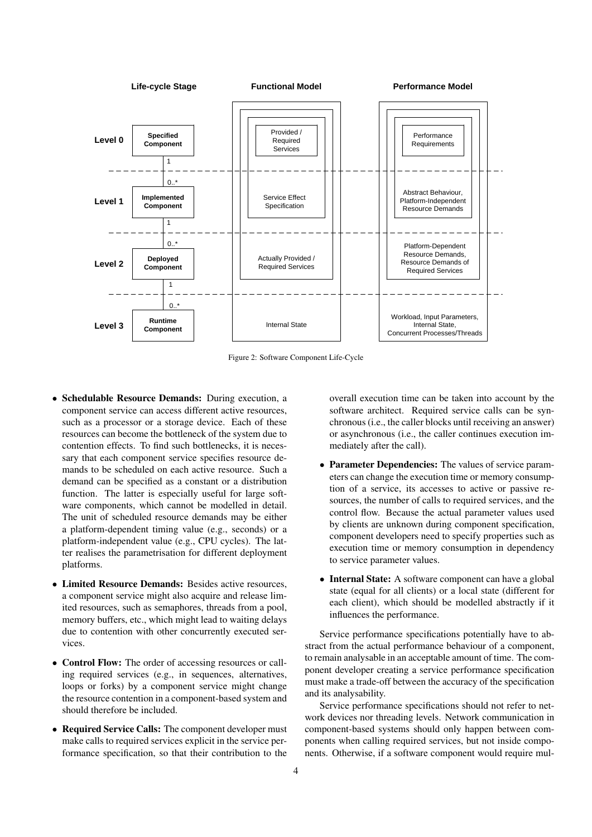

<span id="page-3-0"></span>Figure 2: Software Component Life-Cycle

- Schedulable Resource Demands: During execution, a component service can access different active resources, such as a processor or a storage device. Each of these resources can become the bottleneck of the system due to contention effects. To find such bottlenecks, it is necessary that each component service specifies resource demands to be scheduled on each active resource. Such a demand can be specified as a constant or a distribution function. The latter is especially useful for large software components, which cannot be modelled in detail. The unit of scheduled resource demands may be either a platform-dependent timing value (e.g., seconds) or a platform-independent value (e.g., CPU cycles). The latter realises the parametrisation for different deployment platforms.
- Limited Resource Demands: Besides active resources, a component service might also acquire and release limited resources, such as semaphores, threads from a pool, memory buffers, etc., which might lead to waiting delays due to contention with other concurrently executed services.
- Control Flow: The order of accessing resources or calling required services (e.g., in sequences, alternatives, loops or forks) by a component service might change the resource contention in a component-based system and should therefore be included.
- Required Service Calls: The component developer must make calls to required services explicit in the service performance specification, so that their contribution to the

overall execution time can be taken into account by the software architect. Required service calls can be synchronous (i.e., the caller blocks until receiving an answer) or asynchronous (i.e., the caller continues execution immediately after the call).

- Parameter Dependencies: The values of service parameters can change the execution time or memory consumption of a service, its accesses to active or passive resources, the number of calls to required services, and the control flow. Because the actual parameter values used by clients are unknown during component specification, component developers need to specify properties such as execution time or memory consumption in dependency to service parameter values.
- Internal State: A software component can have a global state (equal for all clients) or a local state (different for each client), which should be modelled abstractly if it influences the performance.

Service performance specifications potentially have to abstract from the actual performance behaviour of a component, to remain analysable in an acceptable amount of time. The component developer creating a service performance specification must make a trade-off between the accuracy of the specification and its analysability.

Service performance specifications should not refer to network devices nor threading levels. Network communication in component-based systems should only happen between components when calling required services, but not inside components. Otherwise, if a software component would require mul-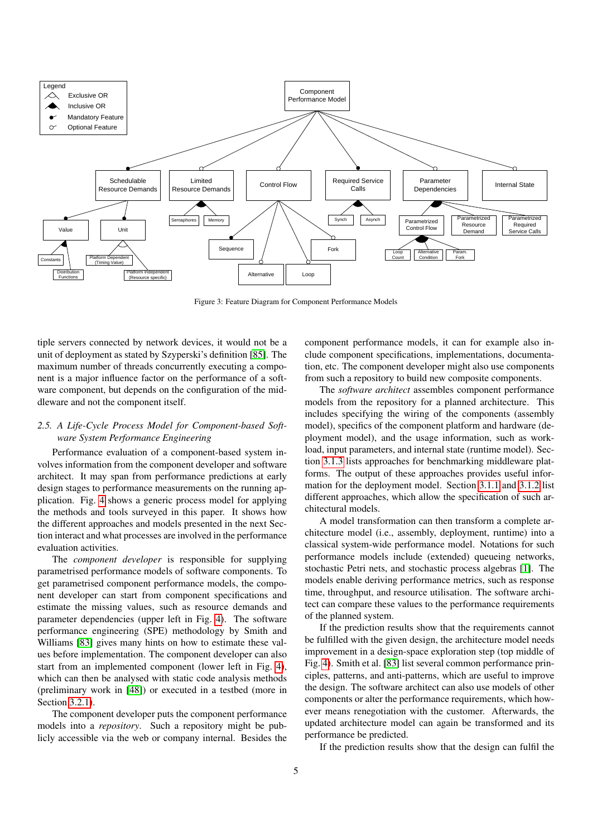

<span id="page-4-1"></span>Figure 3: Feature Diagram for Component Performance Models

tiple servers connected by network devices, it would not be a unit of deployment as stated by Szyperski's definition [\[85\]](#page-21-0). The maximum number of threads concurrently executing a component is a major influence factor on the performance of a software component, but depends on the configuration of the middleware and not the component itself.

# <span id="page-4-0"></span>*2.5. A Life-Cycle Process Model for Component-based Software System Performance Engineering*

Performance evaluation of a component-based system involves information from the component developer and software architect. It may span from performance predictions at early design stages to performance measurements on the running application. Fig. [4](#page-5-0) shows a generic process model for applying the methods and tools surveyed in this paper. It shows how the different approaches and models presented in the next Section interact and what processes are involved in the performance evaluation activities.

The *component developer* is responsible for supplying parametrised performance models of software components. To get parametrised component performance models, the component developer can start from component specifications and estimate the missing values, such as resource demands and parameter dependencies (upper left in Fig. [4\)](#page-5-0). The software performance engineering (SPE) methodology by Smith and Williams [\[83\]](#page-21-7) gives many hints on how to estimate these values before implementation. The component developer can also start from an implemented component (lower left in Fig. [4\)](#page-5-0), which can then be analysed with static code analysis methods (preliminary work in [\[48\]](#page-20-11)) or executed in a testbed (more in Section [3.2.1\)](#page-10-0).

The component developer puts the component performance models into a *repository*. Such a repository might be publicly accessible via the web or company internal. Besides the component performance models, it can for example also include component specifications, implementations, documentation, etc. The component developer might also use components from such a repository to build new composite components.

The *software architect* assembles component performance models from the repository for a planned architecture. This includes specifying the wiring of the components (assembly model), specifics of the component platform and hardware (deployment model), and the usage information, such as workload, input parameters, and internal state (runtime model). Section [3.1.3](#page-7-0) lists approaches for benchmarking middleware platforms. The output of these approaches provides useful information for the deployment model. Section [3.1.1](#page-5-1) and [3.1.2](#page-6-0) list different approaches, which allow the specification of such architectural models.

A model transformation can then transform a complete architecture model (i.e., assembly, deployment, runtime) into a classical system-wide performance model. Notations for such performance models include (extended) queueing networks, stochastic Petri nets, and stochastic process algebras [\[1\]](#page-19-2). The models enable deriving performance metrics, such as response time, throughput, and resource utilisation. The software architect can compare these values to the performance requirements of the planned system.

If the prediction results show that the requirements cannot be fulfilled with the given design, the architecture model needs improvement in a design-space exploration step (top middle of Fig. [4\)](#page-5-0). Smith et al. [\[83\]](#page-21-7) list several common performance principles, patterns, and anti-patterns, which are useful to improve the design. The software architect can also use models of other components or alter the performance requirements, which however means renegotiation with the customer. Afterwards, the updated architecture model can again be transformed and its performance be predicted.

If the prediction results show that the design can fulfil the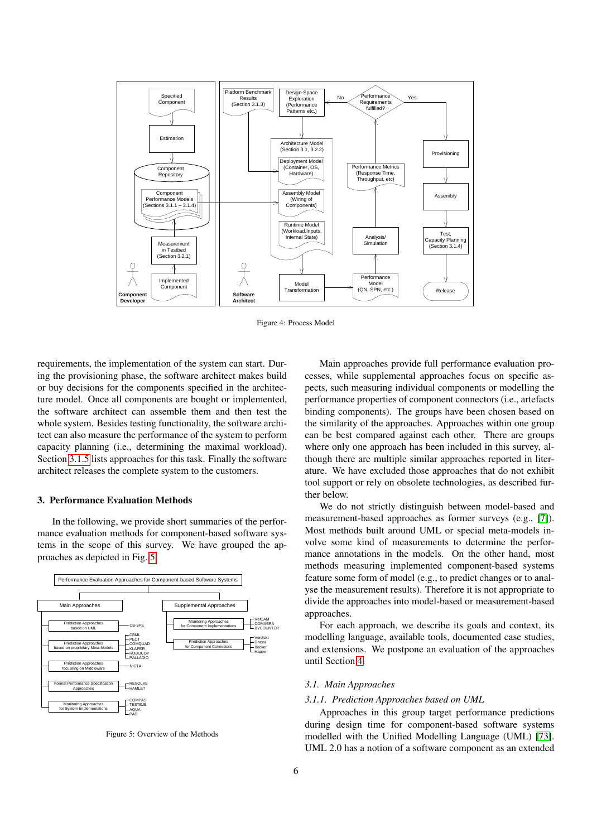

<span id="page-5-0"></span>Figure 4: Process Model

requirements, the implementation of the system can start. During the provisioning phase, the software architect makes build or buy decisions for the components specified in the architecture model. Once all components are bought or implemented, the software architect can assemble them and then test the whole system. Besides testing functionality, the software architect can also measure the performance of the system to perform capacity planning (i.e., determining the maximal workload). Section [3.1.5](#page-9-0) lists approaches for this task. Finally the software architect releases the complete system to the customers.

### <span id="page-5-3"></span>3. Performance Evaluation Methods

In the following, we provide short summaries of the performance evaluation methods for component-based software systems in the scope of this survey. We have grouped the approaches as depicted in Fig. [5](#page-5-2)



<span id="page-5-2"></span>Figure 5: Overview of the Methods

Main approaches provide full performance evaluation processes, while supplemental approaches focus on specific aspects, such measuring individual components or modelling the performance properties of component connectors (i.e., artefacts binding components). The groups have been chosen based on the similarity of the approaches. Approaches within one group can be best compared against each other. There are groups where only one approach has been included in this survey, although there are multiple similar approaches reported in literature. We have excluded those approaches that do not exhibit tool support or rely on obsolete technologies, as described further below.

We do not strictly distinguish between model-based and measurement-based approaches as former surveys (e.g., [\[7\]](#page-19-8)). Most methods built around UML or special meta-models involve some kind of measurements to determine the performance annotations in the models. On the other hand, most methods measuring implemented component-based systems feature some form of model (e.g., to predict changes or to analyse the measurement results). Therefore it is not appropriate to divide the approaches into model-based or measurement-based approaches.

For each approach, we describe its goals and context, its modelling language, available tools, documented case studies, and extensions. We postpone an evaluation of the approaches until Section [4.](#page-12-0)

#### *3.1. Main Approaches*

### <span id="page-5-1"></span>*3.1.1. Prediction Approaches based on UML*

Approaches in this group target performance predictions during design time for component-based software systems modelled with the Unified Modelling Language (UML) [\[73\]](#page-20-12). UML 2.0 has a notion of a software component as an extended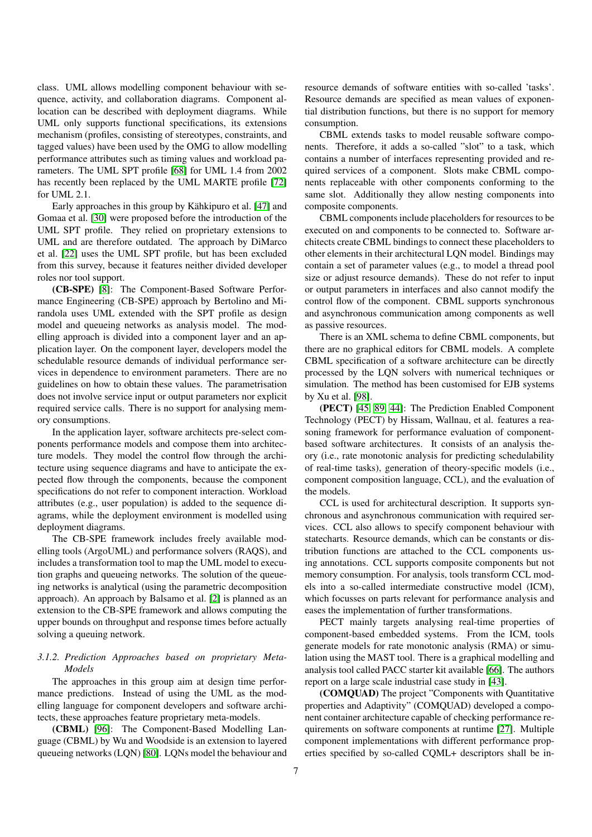class. UML allows modelling component behaviour with sequence, activity, and collaboration diagrams. Component allocation can be described with deployment diagrams. While UML only supports functional specifications, its extensions mechanism (profiles, consisting of stereotypes, constraints, and tagged values) have been used by the OMG to allow modelling performance attributes such as timing values and workload parameters. The UML SPT profile [\[68\]](#page-20-13) for UML 1.4 from 2002 has recently been replaced by the UML MARTE profile [\[72\]](#page-20-14) for UML 2.1.

Early approaches in this group by Kähkipuro et al. [\[47\]](#page-20-15) and Gomaa et al. [\[30\]](#page-19-5) were proposed before the introduction of the UML SPT profile. They relied on proprietary extensions to UML and are therefore outdated. The approach by DiMarco et al. [\[22\]](#page-19-4) uses the UML SPT profile, but has been excluded from this survey, because it features neither divided developer roles nor tool support.

(CB-SPE) [\[8\]](#page-19-10): The Component-Based Software Performance Engineering (CB-SPE) approach by Bertolino and Mirandola uses UML extended with the SPT profile as design model and queueing networks as analysis model. The modelling approach is divided into a component layer and an application layer. On the component layer, developers model the schedulable resource demands of individual performance services in dependence to environment parameters. There are no guidelines on how to obtain these values. The parametrisation does not involve service input or output parameters nor explicit required service calls. There is no support for analysing memory consumptions.

In the application layer, software architects pre-select components performance models and compose them into architecture models. They model the control flow through the architecture using sequence diagrams and have to anticipate the expected flow through the components, because the component specifications do not refer to component interaction. Workload attributes (e.g., user population) is added to the sequence diagrams, while the deployment environment is modelled using deployment diagrams.

The CB-SPE framework includes freely available modelling tools (ArgoUML) and performance solvers (RAQS), and includes a transformation tool to map the UML model to execution graphs and queueing networks. The solution of the queueing networks is analytical (using the parametric decomposition approach). An approach by Balsamo et al. [\[2\]](#page-19-11) is planned as an extension to the CB-SPE framework and allows computing the upper bounds on throughput and response times before actually solving a queuing network.

# <span id="page-6-0"></span>*3.1.2. Prediction Approaches based on proprietary Meta-Models*

The approaches in this group aim at design time performance predictions. Instead of using the UML as the modelling language for component developers and software architects, these approaches feature proprietary meta-models.

(CBML) [\[96\]](#page-21-8): The Component-Based Modelling Language (CBML) by Wu and Woodside is an extension to layered queueing networks (LQN) [\[80\]](#page-21-9). LQNs model the behaviour and resource demands of software entities with so-called 'tasks'. Resource demands are specified as mean values of exponential distribution functions, but there is no support for memory consumption.

CBML extends tasks to model reusable software components. Therefore, it adds a so-called "slot" to a task, which contains a number of interfaces representing provided and required services of a component. Slots make CBML components replaceable with other components conforming to the same slot. Additionally they allow nesting components into composite components.

CBML components include placeholders for resources to be executed on and components to be connected to. Software architects create CBML bindings to connect these placeholders to other elements in their architectural LQN model. Bindings may contain a set of parameter values (e.g., to model a thread pool size or adjust resource demands). These do not refer to input or output parameters in interfaces and also cannot modify the control flow of the component. CBML supports synchronous and asynchronous communication among components as well as passive resources.

There is an XML schema to define CBML components, but there are no graphical editors for CBML models. A complete CBML specification of a software architecture can be directly processed by the LQN solvers with numerical techniques or simulation. The method has been customised for EJB systems by Xu et al. [\[98\]](#page-21-10).

(PECT) [\[45,](#page-20-16) [89,](#page-21-11) [44\]](#page-20-17): The Prediction Enabled Component Technology (PECT) by Hissam, Wallnau, et al. features a reasoning framework for performance evaluation of componentbased software architectures. It consists of an analysis theory (i.e., rate monotonic analysis for predicting schedulability of real-time tasks), generation of theory-specific models (i.e., component composition language, CCL), and the evaluation of the models.

CCL is used for architectural description. It supports synchronous and asynchronous communication with required services. CCL also allows to specify component behaviour with statecharts. Resource demands, which can be constants or distribution functions are attached to the CCL components using annotations. CCL supports composite components but not memory consumption. For analysis, tools transform CCL models into a so-called intermediate constructive model (ICM), which focusses on parts relevant for performance analysis and eases the implementation of further transformations.

PECT mainly targets analysing real-time properties of component-based embedded systems. From the ICM, tools generate models for rate monotonic analysis (RMA) or simulation using the MAST tool. There is a graphical modelling and analysis tool called PACC starter kit available [\[66\]](#page-20-18). The authors report on a large scale industrial case study in [\[43\]](#page-20-19).

(COMQUAD) The project "Components with Quantitative properties and Adaptivity" (COMQUAD) developed a component container architecture capable of checking performance requirements on software components at runtime [\[27\]](#page-19-12). Multiple component implementations with different performance properties specified by so-called CQML+ descriptors shall be in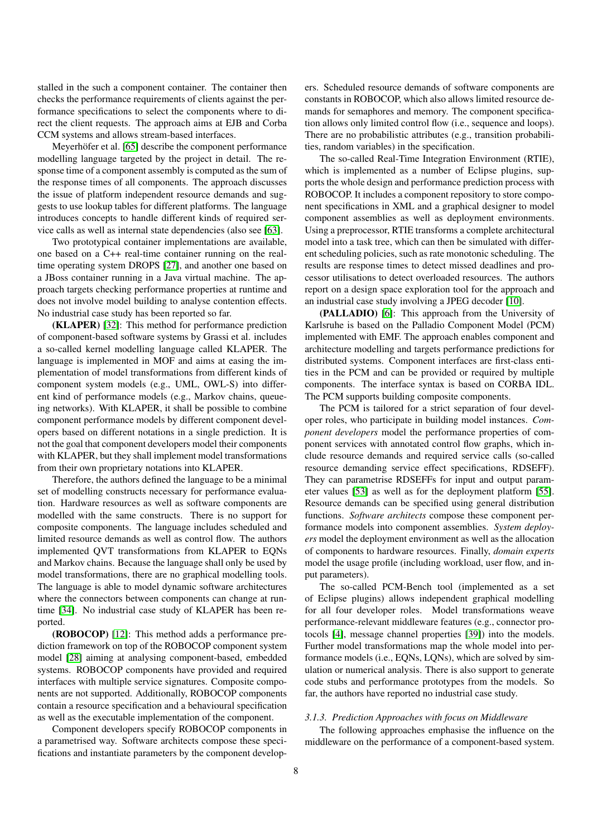stalled in the such a component container. The container then checks the performance requirements of clients against the performance specifications to select the components where to direct the client requests. The approach aims at EJB and Corba CCM systems and allows stream-based interfaces.

Meyerhöfer et al. [\[65\]](#page-20-20) describe the component performance modelling language targeted by the project in detail. The response time of a component assembly is computed as the sum of the response times of all components. The approach discusses the issue of platform independent resource demands and suggests to use lookup tables for different platforms. The language introduces concepts to handle different kinds of required service calls as well as internal state dependencies (also see [\[63\]](#page-20-21).

Two prototypical container implementations are available, one based on a C++ real-time container running on the realtime operating system DROPS [\[27\]](#page-19-12), and another one based on a JBoss container running in a Java virtual machine. The approach targets checking performance properties at runtime and does not involve model building to analyse contention effects. No industrial case study has been reported so far.

(KLAPER) [\[32\]](#page-19-13): This method for performance prediction of component-based software systems by Grassi et al. includes a so-called kernel modelling language called KLAPER. The language is implemented in MOF and aims at easing the implementation of model transformations from different kinds of component system models (e.g., UML, OWL-S) into different kind of performance models (e.g., Markov chains, queueing networks). With KLAPER, it shall be possible to combine component performance models by different component developers based on different notations in a single prediction. It is not the goal that component developers model their components with KLAPER, but they shall implement model transformations from their own proprietary notations into KLAPER.

Therefore, the authors defined the language to be a minimal set of modelling constructs necessary for performance evaluation. Hardware resources as well as software components are modelled with the same constructs. There is no support for composite components. The language includes scheduled and limited resource demands as well as control flow. The authors implemented QVT transformations from KLAPER to EQNs and Markov chains. Because the language shall only be used by model transformations, there are no graphical modelling tools. The language is able to model dynamic software architectures where the connectors between components can change at runtime [\[34\]](#page-19-14). No industrial case study of KLAPER has been reported.

(ROBOCOP) [\[12\]](#page-19-15): This method adds a performance prediction framework on top of the ROBOCOP component system model [\[28\]](#page-19-16) aiming at analysing component-based, embedded systems. ROBOCOP components have provided and required interfaces with multiple service signatures. Composite components are not supported. Additionally, ROBOCOP components contain a resource specification and a behavioural specification as well as the executable implementation of the component.

Component developers specify ROBOCOP components in a parametrised way. Software architects compose these specifications and instantiate parameters by the component developers. Scheduled resource demands of software components are constants in ROBOCOP, which also allows limited resource demands for semaphores and memory. The component specification allows only limited control flow (i.e., sequence and loops). There are no probabilistic attributes (e.g., transition probabilities, random variables) in the specification.

The so-called Real-Time Integration Environment (RTIE), which is implemented as a number of Eclipse plugins, supports the whole design and performance prediction process with ROBOCOP. It includes a component repository to store component specifications in XML and a graphical designer to model component assemblies as well as deployment environments. Using a preprocessor, RTIE transforms a complete architectural model into a task tree, which can then be simulated with different scheduling policies, such as rate monotonic scheduling. The results are response times to detect missed deadlines and processor utilisations to detect overloaded resources. The authors report on a design space exploration tool for the approach and an industrial case study involving a JPEG decoder [\[10\]](#page-19-17).

(PALLADIO) [\[6\]](#page-19-18): This approach from the University of Karlsruhe is based on the Palladio Component Model (PCM) implemented with EMF. The approach enables component and architecture modelling and targets performance predictions for distributed systems. Component interfaces are first-class entities in the PCM and can be provided or required by multiple components. The interface syntax is based on CORBA IDL. The PCM supports building composite components.

The PCM is tailored for a strict separation of four developer roles, who participate in building model instances. *Component developers* model the performance properties of component services with annotated control flow graphs, which include resource demands and required service calls (so-called resource demanding service effect specifications, RDSEFF). They can parametrise RDSEFFs for input and output parameter values [\[53\]](#page-20-22) as well as for the deployment platform [\[55\]](#page-20-23). Resource demands can be specified using general distribution functions. *Software architects* compose these component performance models into component assemblies. *System deployers* model the deployment environment as well as the allocation of components to hardware resources. Finally, *domain experts* model the usage profile (including workload, user flow, and input parameters).

The so-called PCM-Bench tool (implemented as a set of Eclipse plugins) allows independent graphical modelling for all four developer roles. Model transformations weave performance-relevant middleware features (e.g., connector protocols [\[4\]](#page-19-19), message channel properties [\[39\]](#page-20-24)) into the models. Further model transformations map the whole model into performance models (i.e., EQNs, LQNs), which are solved by simulation or numerical analysis. There is also support to generate code stubs and performance prototypes from the models. So far, the authors have reported no industrial case study.

### <span id="page-7-0"></span>*3.1.3. Prediction Approaches with focus on Middleware*

The following approaches emphasise the influence on the middleware on the performance of a component-based system.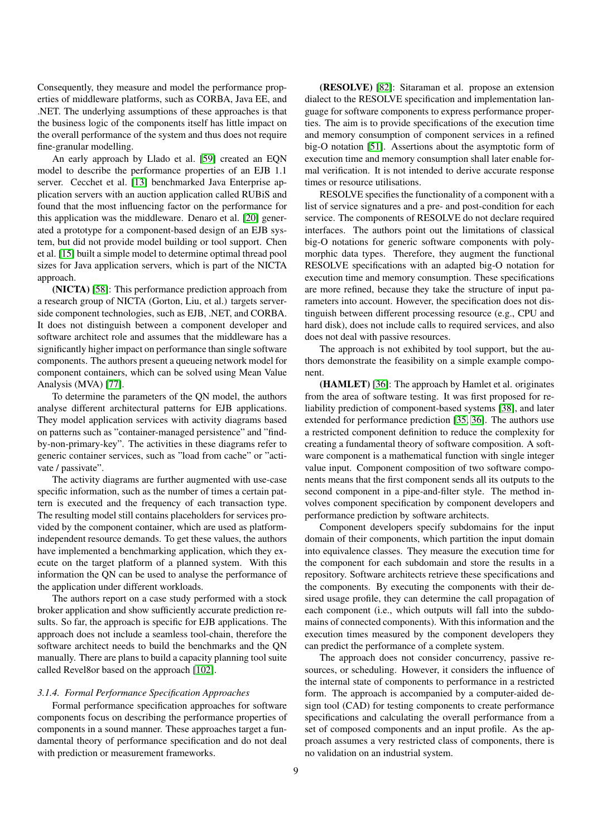Consequently, they measure and model the performance properties of middleware platforms, such as CORBA, Java EE, and .NET. The underlying assumptions of these approaches is that the business logic of the components itself has little impact on the overall performance of the system and thus does not require fine-granular modelling.

An early approach by Llado et al. [\[59\]](#page-20-25) created an EQN model to describe the performance properties of an EJB 1.1 server. Cecchet et al. [\[13\]](#page-19-20) benchmarked Java Enterprise application servers with an auction application called RUBiS and found that the most influencing factor on the performance for this application was the middleware. Denaro et al. [\[20\]](#page-19-21) generated a prototype for a component-based design of an EJB system, but did not provide model building or tool support. Chen et al. [\[15\]](#page-19-22) built a simple model to determine optimal thread pool sizes for Java application servers, which is part of the NICTA approach.

(NICTA) [\[58\]](#page-20-26): This performance prediction approach from a research group of NICTA (Gorton, Liu, et al.) targets serverside component technologies, such as EJB, .NET, and CORBA. It does not distinguish between a component developer and software architect role and assumes that the middleware has a significantly higher impact on performance than single software components. The authors present a queueing network model for component containers, which can be solved using Mean Value Analysis (MVA) [\[77\]](#page-20-27).

To determine the parameters of the QN model, the authors analyse different architectural patterns for EJB applications. They model application services with activity diagrams based on patterns such as "container-managed persistence" and "findby-non-primary-key". The activities in these diagrams refer to generic container services, such as "load from cache" or "activate / passivate".

The activity diagrams are further augmented with use-case specific information, such as the number of times a certain pattern is executed and the frequency of each transaction type. The resulting model still contains placeholders for services provided by the component container, which are used as platformindependent resource demands. To get these values, the authors have implemented a benchmarking application, which they execute on the target platform of a planned system. With this information the QN can be used to analyse the performance of the application under different workloads.

The authors report on a case study performed with a stock broker application and show sufficiently accurate prediction results. So far, the approach is specific for EJB applications. The approach does not include a seamless tool-chain, therefore the software architect needs to build the benchmarks and the QN manually. There are plans to build a capacity planning tool suite called Revel8or based on the approach [\[102\]](#page-21-12).

### *3.1.4. Formal Performance Specification Approaches*

Formal performance specification approaches for software components focus on describing the performance properties of components in a sound manner. These approaches target a fundamental theory of performance specification and do not deal with prediction or measurement frameworks.

(RESOLVE) [\[82\]](#page-21-13): Sitaraman et al. propose an extension dialect to the RESOLVE specification and implementation language for software components to express performance properties. The aim is to provide specifications of the execution time and memory consumption of component services in a refined big-O notation [\[51\]](#page-20-28). Assertions about the asymptotic form of execution time and memory consumption shall later enable formal verification. It is not intended to derive accurate response times or resource utilisations.

RESOLVE specifies the functionality of a component with a list of service signatures and a pre- and post-condition for each service. The components of RESOLVE do not declare required interfaces. The authors point out the limitations of classical big-O notations for generic software components with polymorphic data types. Therefore, they augment the functional RESOLVE specifications with an adapted big-O notation for execution time and memory consumption. These specifications are more refined, because they take the structure of input parameters into account. However, the specification does not distinguish between different processing resource (e.g., CPU and hard disk), does not include calls to required services, and also does not deal with passive resources.

The approach is not exhibited by tool support, but the authors demonstrate the feasibility on a simple example component.

(HAMLET) [\[36\]](#page-19-23): The approach by Hamlet et al. originates from the area of software testing. It was first proposed for reliability prediction of component-based systems [\[38\]](#page-20-29), and later extended for performance prediction [\[35,](#page-19-24) [36\]](#page-19-23). The authors use a restricted component definition to reduce the complexity for creating a fundamental theory of software composition. A software component is a mathematical function with single integer value input. Component composition of two software components means that the first component sends all its outputs to the second component in a pipe-and-filter style. The method involves component specification by component developers and performance prediction by software architects.

Component developers specify subdomains for the input domain of their components, which partition the input domain into equivalence classes. They measure the execution time for the component for each subdomain and store the results in a repository. Software architects retrieve these specifications and the components. By executing the components with their desired usage profile, they can determine the call propagation of each component (i.e., which outputs will fall into the subdomains of connected components). With this information and the execution times measured by the component developers they can predict the performance of a complete system.

The approach does not consider concurrency, passive resources, or scheduling. However, it considers the influence of the internal state of components to performance in a restricted form. The approach is accompanied by a computer-aided design tool (CAD) for testing components to create performance specifications and calculating the overall performance from a set of composed components and an input profile. As the approach assumes a very restricted class of components, there is no validation on an industrial system.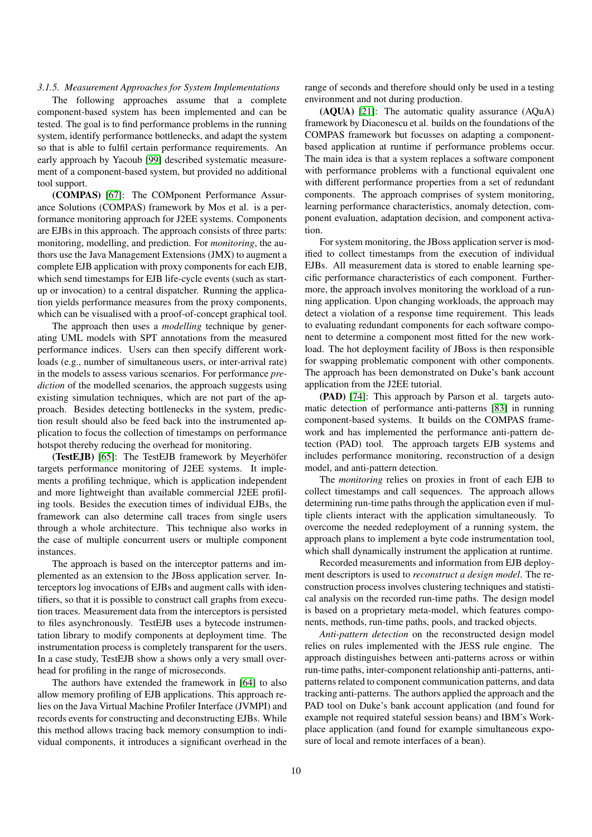### <span id="page-9-0"></span>*3.1.5. Measurement Approaches for System Implementations*

The following approaches assume that a complete component-based system has been implemented and can be tested. The goal is to find performance problems in the running system, identify performance bottlenecks, and adapt the system so that is able to fulfil certain performance requirements. An early approach by Yacoub [\[99\]](#page-21-14) described systematic measurement of a component-based system, but provided no additional tool support.

(COMPAS) [\[67\]](#page-20-30): The COMponent Performance Assurance Solutions (COMPAS) framework by Mos et al. is a performance monitoring approach for J2EE systems. Components are EJBs in this approach. The approach consists of three parts: monitoring, modelling, and prediction. For *monitoring*, the authors use the Java Management Extensions (JMX) to augment a complete EJB application with proxy components for each EJB, which send timestamps for EJB life-cycle events (such as startup or invocation) to a central dispatcher. Running the application yields performance measures from the proxy components, which can be visualised with a proof-of-concept graphical tool.

The approach then uses a *modelling* technique by generating UML models with SPT annotations from the measured performance indices. Users can then specify different workloads (e.g., number of simultaneous users, or inter-arrival rate) in the models to assess various scenarios. For performance *prediction* of the modelled scenarios, the approach suggests using existing simulation techniques, which are not part of the approach. Besides detecting bottlenecks in the system, prediction result should also be feed back into the instrumented application to focus the collection of timestamps on performance hotspot thereby reducing the overhead for monitoring.

 $(TestEJB)$  [\[65\]](#page-20-20): The TestEJB framework by Meyerhöfer targets performance monitoring of J2EE systems. It implements a profiling technique, which is application independent and more lightweight than available commercial J2EE profiling tools. Besides the execution times of individual EJBs, the framework can also determine call traces from single users through a whole architecture. This technique also works in the case of multiple concurrent users or multiple component instances.

The approach is based on the interceptor patterns and implemented as an extension to the JBoss application server. Interceptors log invocations of EJBs and augment calls with identifiers, so that it is possible to construct call graphs from execution traces. Measurement data from the interceptors is persisted to files asynchronously. TestEJB uses a bytecode instrumentation library to modify components at deployment time. The instrumentation process is completely transparent for the users. In a case study, TestEJB show a shows only a very small overhead for profiling in the range of microseconds.

The authors have extended the framework in [\[64\]](#page-20-31) to also allow memory profiling of EJB applications. This approach relies on the Java Virtual Machine Profiler Interface (JVMPI) and records events for constructing and deconstructing EJBs. While this method allows tracing back memory consumption to individual components, it introduces a significant overhead in the

range of seconds and therefore should only be used in a testing environment and not during production.

(AQUA) [\[21\]](#page-19-25): The automatic quality assurance (AQuA) framework by Diaconescu et al. builds on the foundations of the COMPAS framework but focusses on adapting a componentbased application at runtime if performance problems occur. The main idea is that a system replaces a software component with performance problems with a functional equivalent one with different performance properties from a set of redundant components. The approach comprises of system monitoring, learning performance characteristics, anomaly detection, component evaluation, adaptation decision, and component activation.

For system monitoring, the JBoss application server is modified to collect timestamps from the execution of individual EJBs. All measurement data is stored to enable learning specific performance characteristics of each component. Furthermore, the approach involves monitoring the workload of a running application. Upon changing workloads, the approach may detect a violation of a response time requirement. This leads to evaluating redundant components for each software component to determine a component most fitted for the new workload. The hot deployment facility of JBoss is then responsible for swapping problematic component with other components. The approach has been demonstrated on Duke's bank account application from the J2EE tutorial.

(PAD) [\[74\]](#page-20-32): This approach by Parson et al. targets automatic detection of performance anti-patterns [\[83\]](#page-21-7) in running component-based systems. It builds on the COMPAS framework and has implemented the performance anti-pattern detection (PAD) tool. The approach targets EJB systems and includes performance monitoring, reconstruction of a design model, and anti-pattern detection.

The *monitoring* relies on proxies in front of each EJB to collect timestamps and call sequences. The approach allows determining run-time paths through the application even if multiple clients interact with the application simultaneously. To overcome the needed redeployment of a running system, the approach plans to implement a byte code instrumentation tool, which shall dynamically instrument the application at runtime.

Recorded measurements and information from EJB deployment descriptors is used to *reconstruct a design model*. The reconstruction process involves clustering techniques and statistical analysis on the recorded run-time paths. The design model is based on a proprietary meta-model, which features components, methods, run-time paths, pools, and tracked objects.

*Anti-pattern detection* on the reconstructed design model relies on rules implemented with the JESS rule engine. The approach distinguishes between anti-patterns across or within run-time paths, inter-component relationship anti-patterns, antipatterns related to component communication patterns, and data tracking anti-patterns. The authors applied the approach and the PAD tool on Duke's bank account application (and found for example not required stateful session beans) and IBM's Workplace application (and found for example simultaneous exposure of local and remote interfaces of a bean).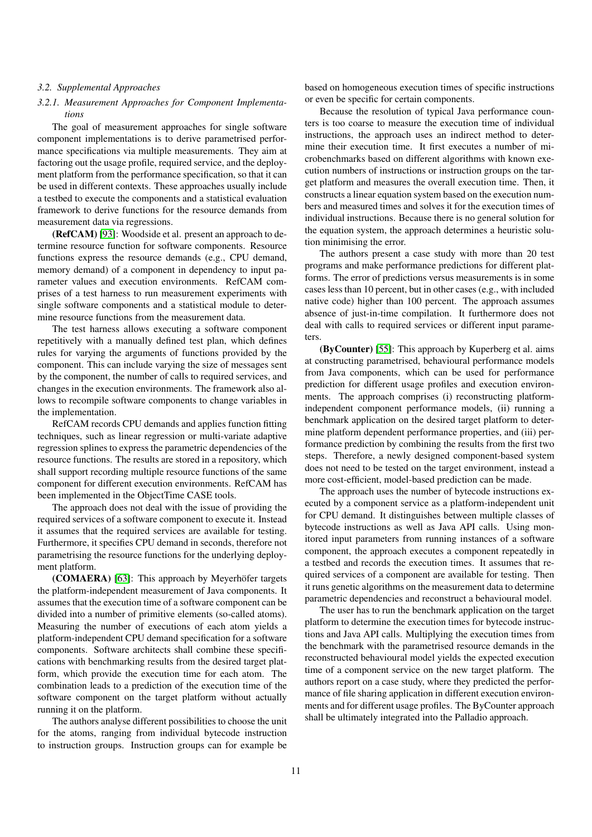### *3.2. Supplemental Approaches*

# <span id="page-10-0"></span>*3.2.1. Measurement Approaches for Component Implementations*

The goal of measurement approaches for single software component implementations is to derive parametrised performance specifications via multiple measurements. They aim at factoring out the usage profile, required service, and the deployment platform from the performance specification, so that it can be used in different contexts. These approaches usually include a testbed to execute the components and a statistical evaluation framework to derive functions for the resource demands from measurement data via regressions.

(RefCAM) [\[93\]](#page-21-15): Woodside et al. present an approach to determine resource function for software components. Resource functions express the resource demands (e.g., CPU demand, memory demand) of a component in dependency to input parameter values and execution environments. RefCAM comprises of a test harness to run measurement experiments with single software components and a statistical module to determine resource functions from the measurement data.

The test harness allows executing a software component repetitively with a manually defined test plan, which defines rules for varying the arguments of functions provided by the component. This can include varying the size of messages sent by the component, the number of calls to required services, and changes in the execution environments. The framework also allows to recompile software components to change variables in the implementation.

RefCAM records CPU demands and applies function fitting techniques, such as linear regression or multi-variate adaptive regression splines to express the parametric dependencies of the resource functions. The results are stored in a repository, which shall support recording multiple resource functions of the same component for different execution environments. RefCAM has been implemented in the ObjectTime CASE tools.

The approach does not deal with the issue of providing the required services of a software component to execute it. Instead it assumes that the required services are available for testing. Furthermore, it specifies CPU demand in seconds, therefore not parametrising the resource functions for the underlying deployment platform.

(COMAERA) [\[63\]](#page-20-21): This approach by Meyerhöfer targets the platform-independent measurement of Java components. It assumes that the execution time of a software component can be divided into a number of primitive elements (so-called atoms). Measuring the number of executions of each atom yields a platform-independent CPU demand specification for a software components. Software architects shall combine these specifications with benchmarking results from the desired target platform, which provide the execution time for each atom. The combination leads to a prediction of the execution time of the software component on the target platform without actually running it on the platform.

The authors analyse different possibilities to choose the unit for the atoms, ranging from individual bytecode instruction to instruction groups. Instruction groups can for example be

based on homogeneous execution times of specific instructions or even be specific for certain components.

Because the resolution of typical Java performance counters is too coarse to measure the execution time of individual instructions, the approach uses an indirect method to determine their execution time. It first executes a number of microbenchmarks based on different algorithms with known execution numbers of instructions or instruction groups on the target platform and measures the overall execution time. Then, it constructs a linear equation system based on the execution numbers and measured times and solves it for the execution times of individual instructions. Because there is no general solution for the equation system, the approach determines a heuristic solution minimising the error.

The authors present a case study with more than 20 test programs and make performance predictions for different platforms. The error of predictions versus measurements is in some cases less than 10 percent, but in other cases (e.g., with included native code) higher than 100 percent. The approach assumes absence of just-in-time compilation. It furthermore does not deal with calls to required services or different input parameters.

(ByCounter) [\[55\]](#page-20-23): This approach by Kuperberg et al. aims at constructing parametrised, behavioural performance models from Java components, which can be used for performance prediction for different usage profiles and execution environments. The approach comprises (i) reconstructing platformindependent component performance models, (ii) running a benchmark application on the desired target platform to determine platform dependent performance properties, and (iii) performance prediction by combining the results from the first two steps. Therefore, a newly designed component-based system does not need to be tested on the target environment, instead a more cost-efficient, model-based prediction can be made.

The approach uses the number of bytecode instructions executed by a component service as a platform-independent unit for CPU demand. It distinguishes between multiple classes of bytecode instructions as well as Java API calls. Using monitored input parameters from running instances of a software component, the approach executes a component repeatedly in a testbed and records the execution times. It assumes that required services of a component are available for testing. Then it runs genetic algorithms on the measurement data to determine parametric dependencies and reconstruct a behavioural model.

The user has to run the benchmark application on the target platform to determine the execution times for bytecode instructions and Java API calls. Multiplying the execution times from the benchmark with the parametrised resource demands in the reconstructed behavioural model yields the expected execution time of a component service on the new target platform. The authors report on a case study, where they predicted the performance of file sharing application in different execution environments and for different usage profiles. The ByCounter approach shall be ultimately integrated into the Palladio approach.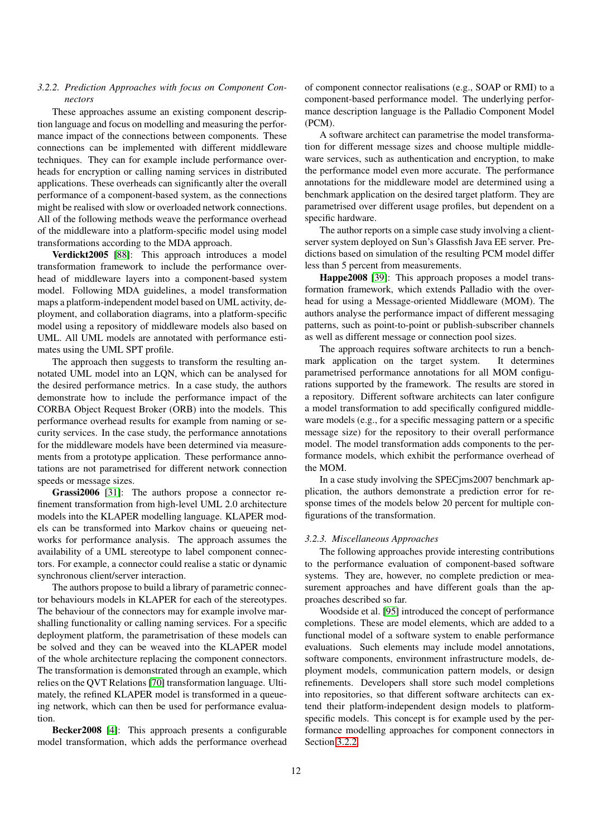### <span id="page-11-0"></span>*3.2.2. Prediction Approaches with focus on Component Connectors*

These approaches assume an existing component description language and focus on modelling and measuring the performance impact of the connections between components. These connections can be implemented with different middleware techniques. They can for example include performance overheads for encryption or calling naming services in distributed applications. These overheads can significantly alter the overall performance of a component-based system, as the connections might be realised with slow or overloaded network connections. All of the following methods weave the performance overhead of the middleware into a platform-specific model using model transformations according to the MDA approach.

Verdickt2005 [\[88\]](#page-21-16): This approach introduces a model transformation framework to include the performance overhead of middleware layers into a component-based system model. Following MDA guidelines, a model transformation maps a platform-independent model based on UML activity, deployment, and collaboration diagrams, into a platform-specific model using a repository of middleware models also based on UML. All UML models are annotated with performance estimates using the UML SPT profile.

The approach then suggests to transform the resulting annotated UML model into an LQN, which can be analysed for the desired performance metrics. In a case study, the authors demonstrate how to include the performance impact of the CORBA Object Request Broker (ORB) into the models. This performance overhead results for example from naming or security services. In the case study, the performance annotations for the middleware models have been determined via measurements from a prototype application. These performance annotations are not parametrised for different network connection speeds or message sizes.

Grassi2006 [\[31\]](#page-19-26): The authors propose a connector refinement transformation from high-level UML 2.0 architecture models into the KLAPER modelling language. KLAPER models can be transformed into Markov chains or queueing networks for performance analysis. The approach assumes the availability of a UML stereotype to label component connectors. For example, a connector could realise a static or dynamic synchronous client/server interaction.

The authors propose to build a library of parametric connector behaviours models in KLAPER for each of the stereotypes. The behaviour of the connectors may for example involve marshalling functionality or calling naming services. For a specific deployment platform, the parametrisation of these models can be solved and they can be weaved into the KLAPER model of the whole architecture replacing the component connectors. The transformation is demonstrated through an example, which relies on the QVT Relations [\[70\]](#page-20-33) transformation language. Ultimately, the refined KLAPER model is transformed in a queueing network, which can then be used for performance evaluation.

Becker2008 [\[4\]](#page-19-19): This approach presents a configurable model transformation, which adds the performance overhead of component connector realisations (e.g., SOAP or RMI) to a component-based performance model. The underlying performance description language is the Palladio Component Model (PCM).

A software architect can parametrise the model transformation for different message sizes and choose multiple middleware services, such as authentication and encryption, to make the performance model even more accurate. The performance annotations for the middleware model are determined using a benchmark application on the desired target platform. They are parametrised over different usage profiles, but dependent on a specific hardware.

The author reports on a simple case study involving a clientserver system deployed on Sun's Glassfish Java EE server. Predictions based on simulation of the resulting PCM model differ less than 5 percent from measurements.

Happe2008 [\[39\]](#page-20-24): This approach proposes a model transformation framework, which extends Palladio with the overhead for using a Message-oriented Middleware (MOM). The authors analyse the performance impact of different messaging patterns, such as point-to-point or publish-subscriber channels as well as different message or connection pool sizes.

The approach requires software architects to run a benchmark application on the target system. It determines parametrised performance annotations for all MOM configurations supported by the framework. The results are stored in a repository. Different software architects can later configure a model transformation to add specifically configured middleware models (e.g., for a specific messaging pattern or a specific message size) for the repository to their overall performance model. The model transformation adds components to the performance models, which exhibit the performance overhead of the MOM.

In a case study involving the SPECjms2007 benchmark application, the authors demonstrate a prediction error for response times of the models below 20 percent for multiple configurations of the transformation.

### *3.2.3. Miscellaneous Approaches*

The following approaches provide interesting contributions to the performance evaluation of component-based software systems. They are, however, no complete prediction or measurement approaches and have different goals than the approaches described so far.

Woodside et al. [\[95\]](#page-21-17) introduced the concept of performance completions. These are model elements, which are added to a functional model of a software system to enable performance evaluations. Such elements may include model annotations, software components, environment infrastructure models, deployment models, communication pattern models, or design refinements. Developers shall store such model completions into repositories, so that different software architects can extend their platform-independent design models to platformspecific models. This concept is for example used by the performance modelling approaches for component connectors in Section [3.2.2.](#page-11-0)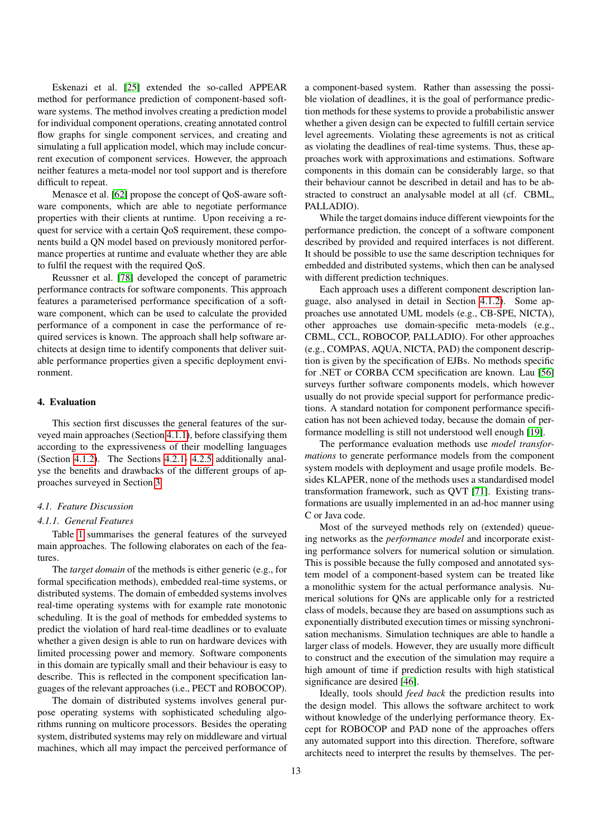Eskenazi et al. [\[25\]](#page-19-27) extended the so-called APPEAR method for performance prediction of component-based software systems. The method involves creating a prediction model for individual component operations, creating annotated control flow graphs for single component services, and creating and simulating a full application model, which may include concurrent execution of component services. However, the approach neither features a meta-model nor tool support and is therefore difficult to repeat.

Menasce et al. [\[62\]](#page-20-34) propose the concept of QoS-aware software components, which are able to negotiate performance properties with their clients at runtime. Upon receiving a request for service with a certain QoS requirement, these components build a QN model based on previously monitored performance properties at runtime and evaluate whether they are able to fulfil the request with the required QoS.

Reussner et al. [\[78\]](#page-21-18) developed the concept of parametric performance contracts for software components. This approach features a parameterised performance specification of a software component, which can be used to calculate the provided performance of a component in case the performance of required services is known. The approach shall help software architects at design time to identify components that deliver suitable performance properties given a specific deployment environment.

### <span id="page-12-0"></span>4. Evaluation

This section first discusses the general features of the surveyed main approaches (Section [4.1.1\)](#page-12-1), before classifying them according to the expressiveness of their modelling languages (Section [4.1.2\)](#page-13-0). The Sections [4.2.1-](#page-14-0) [4.2.5](#page-16-0) additionally analyse the benefits and drawbacks of the different groups of approaches surveyed in Section [3.](#page-5-3)

# *4.1. Feature Discussion*

### <span id="page-12-1"></span>*4.1.1. General Features*

Table [1](#page-13-1) summarises the general features of the surveyed main approaches. The following elaborates on each of the features.

The *target domain* of the methods is either generic (e.g., for formal specification methods), embedded real-time systems, or distributed systems. The domain of embedded systems involves real-time operating systems with for example rate monotonic scheduling. It is the goal of methods for embedded systems to predict the violation of hard real-time deadlines or to evaluate whether a given design is able to run on hardware devices with limited processing power and memory. Software components in this domain are typically small and their behaviour is easy to describe. This is reflected in the component specification languages of the relevant approaches (i.e., PECT and ROBOCOP).

The domain of distributed systems involves general purpose operating systems with sophisticated scheduling algorithms running on multicore processors. Besides the operating system, distributed systems may rely on middleware and virtual machines, which all may impact the perceived performance of

a component-based system. Rather than assessing the possible violation of deadlines, it is the goal of performance prediction methods for these systems to provide a probabilistic answer whether a given design can be expected to fulfill certain service level agreements. Violating these agreements is not as critical as violating the deadlines of real-time systems. Thus, these approaches work with approximations and estimations. Software components in this domain can be considerably large, so that their behaviour cannot be described in detail and has to be abstracted to construct an analysable model at all (cf. CBML, PALLADIO).

While the target domains induce different viewpoints for the performance prediction, the concept of a software component described by provided and required interfaces is not different. It should be possible to use the same description techniques for embedded and distributed systems, which then can be analysed with different prediction techniques.

Each approach uses a different component description language, also analysed in detail in Section [4.1.2\)](#page-13-0). Some approaches use annotated UML models (e.g., CB-SPE, NICTA), other approaches use domain-specific meta-models (e.g., CBML, CCL, ROBOCOP, PALLADIO). For other approaches (e.g., COMPAS, AQUA, NICTA, PAD) the component description is given by the specification of EJBs. No methods specific for .NET or CORBA CCM specification are known. Lau [\[56\]](#page-20-10) surveys further software components models, which however usually do not provide special support for performance predictions. A standard notation for component performance specification has not been achieved today, because the domain of performance modelling is still not understood well enough [\[19\]](#page-19-28).

The performance evaluation methods use *model transformations* to generate performance models from the component system models with deployment and usage profile models. Besides KLAPER, none of the methods uses a standardised model transformation framework, such as QVT [\[71\]](#page-20-35). Existing transformations are usually implemented in an ad-hoc manner using C or Java code.

Most of the surveyed methods rely on (extended) queueing networks as the *performance model* and incorporate existing performance solvers for numerical solution or simulation. This is possible because the fully composed and annotated system model of a component-based system can be treated like a monolithic system for the actual performance analysis. Numerical solutions for QNs are applicable only for a restricted class of models, because they are based on assumptions such as exponentially distributed execution times or missing synchronisation mechanisms. Simulation techniques are able to handle a larger class of models. However, they are usually more difficult to construct and the execution of the simulation may require a high amount of time if prediction results with high statistical significance are desired [\[46\]](#page-20-36).

Ideally, tools should *feed back* the prediction results into the design model. This allows the software architect to work without knowledge of the underlying performance theory. Except for ROBOCOP and PAD none of the approaches offers any automated support into this direction. Therefore, software architects need to interpret the results by themselves. The per-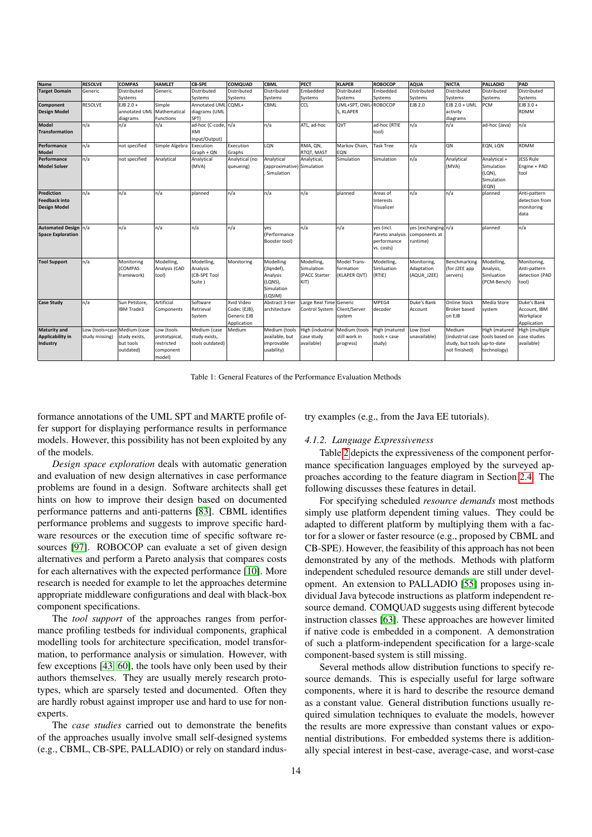| <b>Name</b>              |                              | <b>COMPAS</b>     | <b>HAMLET</b>    | <b>CB-SPE</b>       | <b>COMQUAD</b> | <b>CBML</b>                | <b>PECT</b>             | <b>KLAPER</b>        | <b>ROBOCOP</b>   | <b>AQUA</b>         | <b>NICTA</b>        | <b>PALLADIO</b> | PAD              |
|--------------------------|------------------------------|-------------------|------------------|---------------------|----------------|----------------------------|-------------------------|----------------------|------------------|---------------------|---------------------|-----------------|------------------|
|                          | <b>RESOLVE</b>               |                   |                  |                     |                |                            |                         |                      |                  |                     |                     |                 |                  |
| <b>Target Domain</b>     | Generic                      | Distributed       | Generic          | Distributed         | Distributed    | Distributed                | Embedded                | Distributed          | Embedded         | Distributed         | Distributed         | Distributed     | Distributed      |
|                          |                              | Systems           |                  | Systems             | Systems        | Systems                    | Systems                 | Systems              | Systems          | Systems             | Systems             | Systems         | Systems          |
| Component                | RESOLVE                      | EJB $2.0 +$       | Simple           | Annotated UML COML+ |                | CBML                       | CCL                     | UML+SPT, OWL-ROBOCOP |                  | EJB 2.0             | EJB 2.0 + UML       | PCM             | EJB 3.0 +        |
| <b>Design Model</b>      |                              | annotated UM      | Mathematical     | diagrams (UML       |                |                            |                         | S, KLAPER            |                  |                     | activity            |                 | <b>RDMM</b>      |
|                          |                              | diagrams          | <b>Functions</b> | SPT)                |                |                            |                         |                      |                  |                     | diagrams            |                 |                  |
| <b>Model</b>             | n/a                          | n/a               | n/a              | ad-hoc (C-code, n/a |                | n/a                        | ATL, ad-hoc             | QVT                  | ad-hoc (RTIE     | n/a                 | n/a                 | ad-hoc (Java)   | n/a              |
| <b>Transformation</b>    |                              |                   |                  | XMI                 |                |                            |                         |                      | tool)            |                     |                     |                 |                  |
|                          |                              |                   |                  | Input/Output)       |                |                            |                         |                      |                  |                     |                     |                 |                  |
| Performance              | n/a                          | not specified     | Simple Algebra   | Execution           | Execution      | LQN                        | RMA, QN,                | Markov Chain.        | <b>Task Tree</b> | n/a                 | QN                  | EQN, LQN        | <b>RDMM</b>      |
| <b>Model</b>             |                              |                   |                  | Graph + QN          | Graphs         |                            | RTQT, MAST              | EQN                  |                  |                     |                     |                 |                  |
| Performance              | n/a                          | not specified     | Analytical       | Analytical          | Analytical (no | Analytical                 | Analytical,             | Simulation           | Simulation       | n/a                 | Analytical          | Analytical +    | <b>JESS Rule</b> |
| <b>Model Solver</b>      |                              |                   |                  | (MVA)               | queueing)      | (approximative) Simulation |                         |                      |                  |                     | (MVA)               | Simulation      | Engine + PAD     |
|                          |                              |                   |                  |                     |                | Simulation                 |                         |                      |                  |                     |                     | (LQN),          | tool             |
|                          |                              |                   |                  |                     |                |                            |                         |                      |                  |                     |                     | Simulation      |                  |
|                          |                              |                   |                  |                     |                |                            |                         |                      |                  |                     |                     | (EQN)           |                  |
| <b>Prediction</b>        | n/a                          | n/a               | n/a              | planned             | n/a            | n/a                        | n/a                     | planned              | Areas of         | n/a                 | n/a                 | planned         | Anti-pattern     |
| <b>Feedback into</b>     |                              |                   |                  |                     |                |                            |                         |                      |                  |                     |                     |                 | detection from   |
|                          |                              |                   |                  |                     |                |                            |                         |                      | Interests        |                     |                     |                 |                  |
| <b>Design Model</b>      |                              |                   |                  |                     |                |                            |                         |                      | Visualizer       |                     |                     |                 | monitoring       |
|                          |                              |                   |                  |                     |                |                            |                         |                      |                  |                     |                     |                 | data             |
|                          |                              |                   |                  |                     |                |                            |                         |                      |                  |                     |                     |                 |                  |
| Automated Design n/a     |                              | n/a               | n/a              | n/a                 | n/a            | yes                        | n/a                     | n/a                  | yes (incl.       | yes (exchanging n/a |                     | planned         | n/a              |
| <b>Space Exploration</b> |                              |                   |                  |                     |                | (Performance               |                         |                      | Pareto analysis  | components at       |                     |                 |                  |
|                          |                              |                   |                  |                     |                | Booster tool)              |                         |                      | performance      | runtime)            |                     |                 |                  |
|                          |                              |                   |                  |                     |                |                            |                         |                      | vs. costs)       |                     |                     |                 |                  |
|                          |                              |                   |                  |                     |                |                            |                         |                      |                  |                     |                     |                 |                  |
| <b>Tool Support</b>      | n/a                          | Monitoring        | Modelling,       | Modelling,          | Monitoring     | Modelling                  | Modelling.              | Model Trans-         | Modelling,       | Monitoring,         | Benchmarking        | Modelling,      | Monitoring,      |
|                          |                              | <b>COMPAS</b>     | Analysis (CAD    | Analysis            |                | (Jlgndef),                 | Simulation              | formation            | Simluation       | Adaptation          | (for J2EE app       | Analysis,       | Anti-pattern     |
|                          |                              | framework)        | tool)            | (CB-SPE Tool        |                | Analysis                   | (PACC Starter           | (KLAPER QVT)         | (RTIE)           | (AQUA J2EE)         | servers)            | Simluation      | detection (PAD   |
|                          |                              |                   |                  | Suite)              |                | (LQNS),                    | KIT)                    |                      |                  |                     |                     | (PCM-Bench)     | tool)            |
|                          |                              |                   |                  |                     |                | <b>Simulation</b>          |                         |                      |                  |                     |                     |                 |                  |
|                          |                              |                   |                  |                     |                | (LQSIM)                    |                         |                      |                  |                     |                     |                 |                  |
| <b>Case Study</b>        | n/a                          | Sun Petstore,     | Artificial       | Software            | Xvid Video     | Abstract 3-tier            | Large Real Time Generic |                      | MPEG4            | Duke's Bank         | <b>Online Stock</b> | Media Store     | Duke's Bank      |
|                          |                              | <b>IBM Trade3</b> | Components       | Retrieval           | Codec (EJB),   | architecture               | Control System          | Client/Server        | decoder          | Account             | <b>Broker based</b> | system          | Account, IBM     |
|                          |                              |                   |                  | System              | Generic EJB    |                            |                         | system               |                  |                     | on EJB              |                 | Workplace        |
|                          |                              |                   |                  |                     | Application    |                            |                         |                      |                  |                     |                     |                 | Application      |
| <b>Maturity and</b>      | Low (tools+case Medium (case |                   | Low (tools       | Medium (case        | Medium         | Medium (tools              | High (industrial        | Medium (tools        | High (matured    | Low (tool           | Medium              | High (matured   | High (multiple   |
| <b>Applicability in</b>  | study missing)               | study exists,     | prototypical     | study exists,       |                | available, but             | case study              | still work in        | tools + case     | unavailable)        | (industrial case    | tools based on  | case studies     |
| Industry                 |                              | but tools         | restricted       | tools outdated)     |                | improvable                 | available)              |                      | study)           |                     | study, but tool:    | up-to-date      | available)       |
|                          |                              |                   |                  |                     |                |                            |                         | progress)            |                  |                     |                     |                 |                  |
|                          |                              | outdated)         | component        |                     |                | usability)                 |                         |                      |                  |                     | not finished)       | technology)     |                  |
|                          |                              |                   | model)           |                     |                |                            |                         |                      |                  |                     |                     |                 |                  |

<span id="page-13-1"></span>Table 1: General Features of the Performance Evaluation Methods

formance annotations of the UML SPT and MARTE profile offer support for displaying performance results in performance models. However, this possibility has not been exploited by any of the models.

*Design space exploration* deals with automatic generation and evaluation of new design alternatives in case performance problems are found in a design. Software architects shall get hints on how to improve their design based on documented performance patterns and anti-patterns [\[83\]](#page-21-7). CBML identifies performance problems and suggests to improve specific hardware resources or the execution time of specific software resources [\[97\]](#page-21-19). ROBOCOP can evaluate a set of given design alternatives and perform a Pareto analysis that compares costs for each alternatives with the expected performance [\[10\]](#page-19-17). More research is needed for example to let the approaches determine appropriate middleware configurations and deal with black-box component specifications.

The *tool support* of the approaches ranges from performance profiling testbeds for individual components, graphical modelling tools for architecture specification, model transformation, to performance analysis or simulation. However, with few exceptions [\[43,](#page-20-19) [60\]](#page-20-37), the tools have only been used by their authors themselves. They are usually merely research prototypes, which are sparsely tested and documented. Often they are hardly robust against improper use and hard to use for nonexperts.

The *case studies* carried out to demonstrate the benefits of the approaches usually involve small self-designed systems (e.g., CBML, CB-SPE, PALLADIO) or rely on standard industry examples (e.g., from the Java EE tutorials).

### <span id="page-13-0"></span>*4.1.2. Language Expressiveness*

Table [2](#page-14-1) depicts the expressiveness of the component performance specification languages employed by the surveyed approaches according to the feature diagram in Section [2.4.](#page-2-1) The following discusses these features in detail.

For specifying scheduled *resource demands* most methods simply use platform dependent timing values. They could be adapted to different platform by multiplying them with a factor for a slower or faster resource (e.g., proposed by CBML and CB-SPE). However, the feasibility of this approach has not been demonstrated by any of the methods. Methods with platform independent scheduled resource demands are still under development. An extension to PALLADIO [\[55\]](#page-20-23) proposes using individual Java bytecode instructions as platform independent resource demand. COMQUAD suggests using different bytecode instruction classes [\[63\]](#page-20-21). These approaches are however limited if native code is embedded in a component. A demonstration of such a platform-independent specification for a large-scale component-based system is still missing.

Several methods allow distribution functions to specify resource demands. This is especially useful for large software components, where it is hard to describe the resource demand as a constant value. General distribution functions usually required simulation techniques to evaluate the models, however the results are more expressive than constant values or exponential distributions. For embedded systems there is additionally special interest in best-case, average-case, and worst-case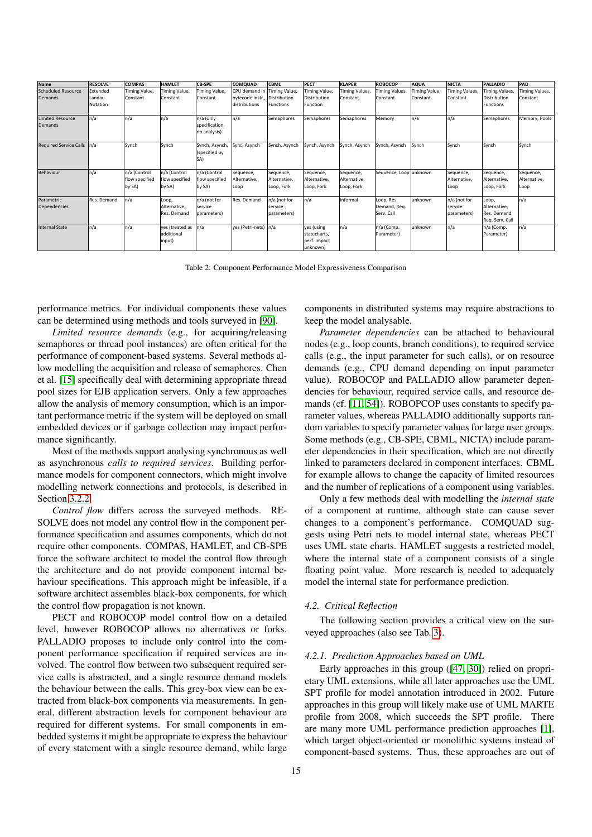| <b>Name</b>                        | <b>RESOLVE</b> | <b>COMPAS</b>                            | <b>HAMLET</b>                            | <b>CB-SPE</b>                               | COMQUAD                           | <b>CBML</b>                             | <b>PECT</b>                                            | <b>KLAPER</b>                           | <b>ROBOCOP</b>                           | AQUA          | <b>NICTA</b>                           | <b>PALLADIO</b>                                          | PAD                               |
|------------------------------------|----------------|------------------------------------------|------------------------------------------|---------------------------------------------|-----------------------------------|-----------------------------------------|--------------------------------------------------------|-----------------------------------------|------------------------------------------|---------------|----------------------------------------|----------------------------------------------------------|-----------------------------------|
| <b>Scheduled Resource</b>          | Extended       | Timing Value,                            | Timing Value,                            | Timing Value,                               | CPU demand in                     | Timing Value,                           | Timing Value,                                          | <b>Timing Values,</b>                   | Timing Values,                           | Timing Value, | Timing Values,                         | <b>Timing Values,</b>                                    | Timing Values,                    |
| Demands                            | Landau         | Constant                                 | Constant                                 | Constant                                    | bytecode instr.                   | Distribution                            | Distribution                                           | Constant                                | Constant                                 | Constant      | Constant                               | Distribution                                             | Constant                          |
|                                    | Notation       |                                          |                                          |                                             | distributions                     | <b>Functions</b>                        | Function                                               |                                         |                                          |               |                                        | <b>Functions</b>                                         |                                   |
| <b>Limited Resource</b><br>Demands | n/a            | n/a                                      | n/a                                      | n/a (only<br>specification,<br>no analysis) | n/a                               | Semaphores                              | Semaphores                                             | Semaphores                              | Memory                                   | In/a          | n/a                                    | Semaphores                                               | Memory, Pools                     |
| <b>Required Service Calls</b>      | ln/a           | Synch                                    | Synch                                    | Synch, Asynch,<br>(specified by<br>SAI      | Sync, Asynch                      | Synch, Asynch                           | Synch, Asynch                                          | Synch, Asynch                           | Synch, Asynch                            | Synch         | Synch                                  | Synch                                                    | Synch                             |
| Behaviour                          | n/a            | n/a (Control<br>flow specified<br>by SA) | n/a (Control<br>flow specified<br>by SA) | n/a (Control<br>flow specified<br>by SA)    | Sequence,<br>Alternative.<br>Loop | Sequence,<br>Alternative,<br>Loop, Fork | Sequence,<br>Alternative.<br>Loop, Fork                | Sequence,<br>Alternative,<br>Loop, Fork | Sequence, Loop unknown                   |               | Sequence,<br>Alternative,<br>Loop      | Sequence,<br>Alternative,<br>Loop, Fork                  | Sequence,<br>Alternative,<br>Loop |
| Parametric<br>Dependencies         | Res. Demand    | n/a                                      | Loop,<br>Alternative,<br>Res. Demand     | n/a (not for<br>service<br>parameters)      | Res. Demand                       | n/a (not for<br>service<br>parameters)  | n/a                                                    | informal                                | Loop, Res.<br>Demand, Req.<br>Serv. Call | unknown       | n/a (not for<br>service<br>parameters) | Loop,<br>Alternative,<br>Res. Demand.<br>Req. Serv. Call | n/a                               |
| <b>Internal State</b>              | n/a            | n/a                                      | yes (treated as<br>additional<br>input)  | n/a                                         | yes (Petri-nets)                  | n/a                                     | yes (using<br>statecharts,<br>perf. impact<br>unknown) | n/a                                     | n/a (Comp.<br>Parameter)                 | unknown       | n/a                                    | n/a (Comp.<br>Parameter)                                 | n/a                               |

<span id="page-14-1"></span>Table 2: Component Performance Model Expressiveness Comparison

performance metrics. For individual components these values can be determined using methods and tools surveyed in [\[90\]](#page-21-20).

*Limited resource demands* (e.g., for acquiring/releasing semaphores or thread pool instances) are often critical for the performance of component-based systems. Several methods allow modelling the acquisition and release of semaphores. Chen et al. [\[15\]](#page-19-22) specifically deal with determining appropriate thread pool sizes for EJB application servers. Only a few approaches allow the analysis of memory consumption, which is an important performance metric if the system will be deployed on small embedded devices or if garbage collection may impact performance significantly.

Most of the methods support analysing synchronous as well as asynchronous *calls to required services*. Building performance models for component connectors, which might involve modelling network connections and protocols, is described in Section [3.2.2.](#page-11-0)

*Control flow* differs across the surveyed methods. RE-SOLVE does not model any control flow in the component performance specification and assumes components, which do not require other components. COMPAS, HAMLET, and CB-SPE force the software architect to model the control flow through the architecture and do not provide component internal behaviour specifications. This approach might be infeasible, if a software architect assembles black-box components, for which the control flow propagation is not known.

PECT and ROBOCOP model control flow on a detailed level, however ROBOCOP allows no alternatives or forks. PALLADIO proposes to include only control into the component performance specification if required services are involved. The control flow between two subsequent required service calls is abstracted, and a single resource demand models the behaviour between the calls. This grey-box view can be extracted from black-box components via measurements. In general, different abstraction levels for component behaviour are required for different systems. For small components in embedded systems it might be appropriate to express the behaviour of every statement with a single resource demand, while large

components in distributed systems may require abstractions to keep the model analysable.

*Parameter dependencies* can be attached to behavioural nodes (e.g., loop counts, branch conditions), to required service calls (e.g., the input parameter for such calls), or on resource demands (e.g., CPU demand depending on input parameter value). ROBOCOP and PALLADIO allow parameter dependencies for behaviour, required service calls, and resource demands (cf. [\[11,](#page-19-29) [54\]](#page-20-38)). ROBOPCOP uses constants to specify parameter values, whereas PALLADIO additionally supports random variables to specify parameter values for large user groups. Some methods (e.g., CB-SPE, CBML, NICTA) include parameter dependencies in their specification, which are not directly linked to parameters declared in component interfaces. CBML for example allows to change the capacity of limited resources and the number of replications of a component using variables.

Only a few methods deal with modelling the *internal state* of a component at runtime, although state can cause sever changes to a component's performance. COMQUAD suggests using Petri nets to model internal state, whereas PECT uses UML state charts. HAMLET suggests a restricted model, where the internal state of a component consists of a single floating point value. More research is needed to adequately model the internal state for performance prediction.

### *4.2. Critical Reflection*

The following section provides a critical view on the surveyed approaches (also see Tab. [3\)](#page-15-0).

### <span id="page-14-0"></span>*4.2.1. Prediction Approaches based on UML*

Early approaches in this group ([\[47,](#page-20-15) [30\]](#page-19-5)) relied on proprietary UML extensions, while all later approaches use the UML SPT profile for model annotation introduced in 2002. Future approaches in this group will likely make use of UML MARTE profile from 2008, which succeeds the SPT profile. There are many more UML performance prediction approaches [\[1\]](#page-19-2), which target object-oriented or monolithic systems instead of component-based systems. Thus, these approaches are out of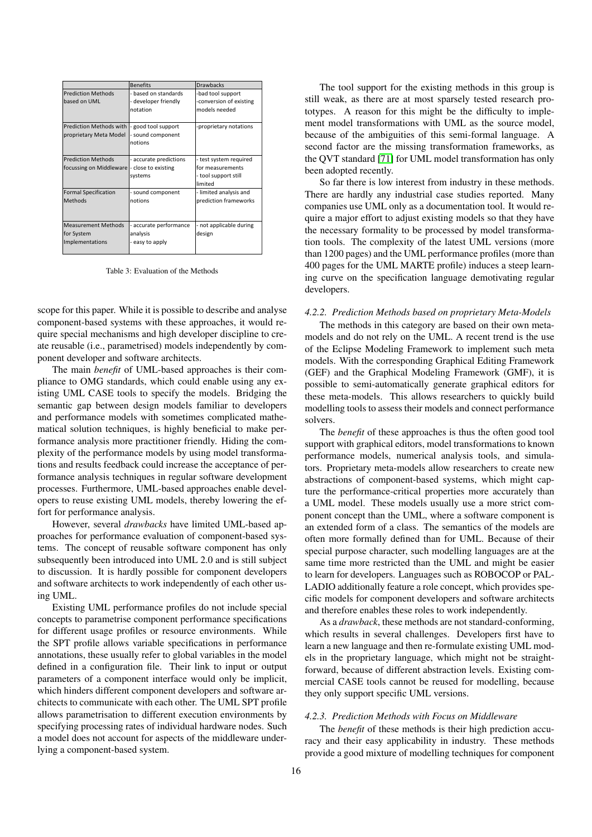|                                                                          | <b>Benefits</b>                                          | <b>Drawbacks</b>                                                              |
|--------------------------------------------------------------------------|----------------------------------------------------------|-------------------------------------------------------------------------------|
| <b>Prediction Methods</b><br>based on UML                                | - based on standards<br>- developer friendly<br>notation | -bad tool support<br>-conversion of existing<br>models needed                 |
| <b>Prediction Methods with</b><br>proprietary Meta Model                 | - good tool support<br>- sound component<br>notions      | -proprietary notations                                                        |
| <b>Prediction Methods</b><br>focussing on Middleware - close to existing | - accurate predictions<br>systems                        | - test system required<br>for measurements<br>- tool support still<br>limited |
| <b>Formal Specification</b><br><b>Methods</b>                            | - sound component<br>notions                             | - limited analysis and<br>prediction frameworks                               |
| <b>Measurement Methods</b><br>for System<br>Implementations              | - accurate performance<br>analysis<br>- easy to apply    | - not applicable during<br>design                                             |

<span id="page-15-0"></span>Table 3: Evaluation of the Methods

scope for this paper. While it is possible to describe and analyse component-based systems with these approaches, it would require special mechanisms and high developer discipline to create reusable (i.e., parametrised) models independently by component developer and software architects.

The main *benefit* of UML-based approaches is their compliance to OMG standards, which could enable using any existing UML CASE tools to specify the models. Bridging the semantic gap between design models familiar to developers and performance models with sometimes complicated mathematical solution techniques, is highly beneficial to make performance analysis more practitioner friendly. Hiding the complexity of the performance models by using model transformations and results feedback could increase the acceptance of performance analysis techniques in regular software development processes. Furthermore, UML-based approaches enable developers to reuse existing UML models, thereby lowering the effort for performance analysis.

However, several *drawbacks* have limited UML-based approaches for performance evaluation of component-based systems. The concept of reusable software component has only subsequently been introduced into UML 2.0 and is still subject to discussion. It is hardly possible for component developers and software architects to work independently of each other using UML.

Existing UML performance profiles do not include special concepts to parametrise component performance specifications for different usage profiles or resource environments. While the SPT profile allows variable specifications in performance annotations, these usually refer to global variables in the model defined in a configuration file. Their link to input or output parameters of a component interface would only be implicit, which hinders different component developers and software architects to communicate with each other. The UML SPT profile allows parametrisation to different execution environments by specifying processing rates of individual hardware nodes. Such a model does not account for aspects of the middleware underlying a component-based system.

The tool support for the existing methods in this group is still weak, as there are at most sparsely tested research prototypes. A reason for this might be the difficulty to implement model transformations with UML as the source model, because of the ambiguities of this semi-formal language. A second factor are the missing transformation frameworks, as the QVT standard [\[71\]](#page-20-35) for UML model transformation has only been adopted recently.

So far there is low interest from industry in these methods. There are hardly any industrial case studies reported. Many companies use UML only as a documentation tool. It would require a major effort to adjust existing models so that they have the necessary formality to be processed by model transformation tools. The complexity of the latest UML versions (more than 1200 pages) and the UML performance profiles (more than 400 pages for the UML MARTE profile) induces a steep learning curve on the specification language demotivating regular developers.

### *4.2.2. Prediction Methods based on proprietary Meta-Models*

The methods in this category are based on their own metamodels and do not rely on the UML. A recent trend is the use of the Eclipse Modeling Framework to implement such meta models. With the corresponding Graphical Editing Framework (GEF) and the Graphical Modeling Framework (GMF), it is possible to semi-automatically generate graphical editors for these meta-models. This allows researchers to quickly build modelling tools to assess their models and connect performance solvers.

The *benefit* of these approaches is thus the often good tool support with graphical editors, model transformations to known performance models, numerical analysis tools, and simulators. Proprietary meta-models allow researchers to create new abstractions of component-based systems, which might capture the performance-critical properties more accurately than a UML model. These models usually use a more strict component concept than the UML, where a software component is an extended form of a class. The semantics of the models are often more formally defined than for UML. Because of their special purpose character, such modelling languages are at the same time more restricted than the UML and might be easier to learn for developers. Languages such as ROBOCOP or PAL-LADIO additionally feature a role concept, which provides specific models for component developers and software architects and therefore enables these roles to work independently.

As a *drawback*, these methods are not standard-conforming, which results in several challenges. Developers first have to learn a new language and then re-formulate existing UML models in the proprietary language, which might not be straightforward, because of different abstraction levels. Existing commercial CASE tools cannot be reused for modelling, because they only support specific UML versions.

#### *4.2.3. Prediction Methods with Focus on Middleware*

The *benefit* of these methods is their high prediction accuracy and their easy applicability in industry. These methods provide a good mixture of modelling techniques for component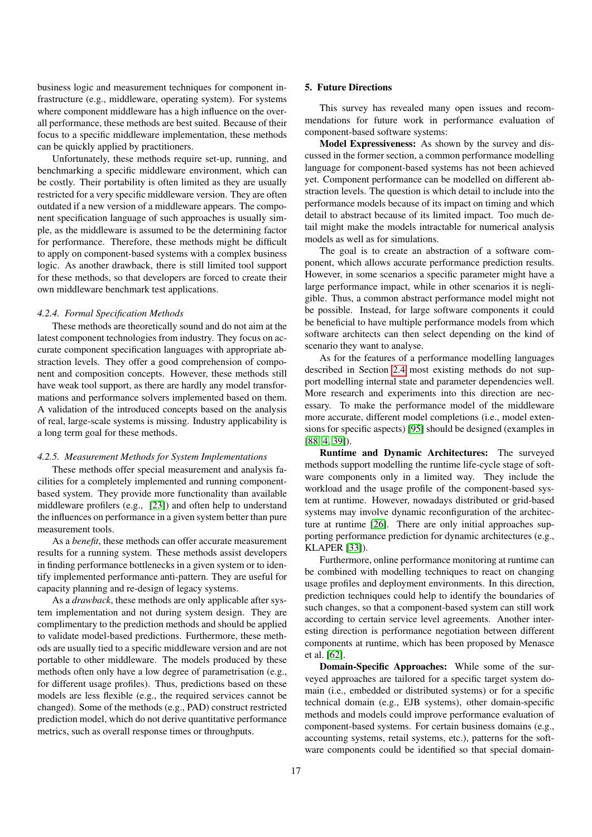business logic and measurement techniques for component infrastructure (e.g., middleware, operating system). For systems where component middleware has a high influence on the overall performance, these methods are best suited. Because of their focus to a specific middleware implementation, these methods can be quickly applied by practitioners.

Unfortunately, these methods require set-up, running, and benchmarking a specific middleware environment, which can be costly. Their portability is often limited as they are usually restricted for a very specific middleware version. They are often outdated if a new version of a middleware appears. The component specification language of such approaches is usually simple, as the middleware is assumed to be the determining factor for performance. Therefore, these methods might be difficult to apply on component-based systems with a complex business logic. As another drawback, there is still limited tool support for these methods, so that developers are forced to create their own middleware benchmark test applications.

#### *4.2.4. Formal Specification Methods*

These methods are theoretically sound and do not aim at the latest component technologies from industry. They focus on accurate component specification languages with appropriate abstraction levels. They offer a good comprehension of component and composition concepts. However, these methods still have weak tool support, as there are hardly any model transformations and performance solvers implemented based on them. A validation of the introduced concepts based on the analysis of real, large-scale systems is missing. Industry applicability is a long term goal for these methods.

#### <span id="page-16-0"></span>*4.2.5. Measurement Methods for System Implementations*

These methods offer special measurement and analysis facilities for a completely implemented and running componentbased system. They provide more functionality than available middleware profilers (e.g., [\[23\]](#page-19-30)) and often help to understand the influences on performance in a given system better than pure measurement tools.

As a *benefit*, these methods can offer accurate measurement results for a running system. These methods assist developers in finding performance bottlenecks in a given system or to identify implemented performance anti-pattern. They are useful for capacity planning and re-design of legacy systems.

As a *drawback*, these methods are only applicable after system implementation and not during system design. They are complimentary to the prediction methods and should be applied to validate model-based predictions. Furthermore, these methods are usually tied to a specific middleware version and are not portable to other middleware. The models produced by these methods often only have a low degree of parametrisation (e.g., for different usage profiles). Thus, predictions based on these models are less flexible (e.g., the required services cannot be changed). Some of the methods (e.g., PAD) construct restricted prediction model, which do not derive quantitative performance metrics, such as overall response times or throughputs.

### 5. Future Directions

This survey has revealed many open issues and recommendations for future work in performance evaluation of component-based software systems:

Model Expressiveness: As shown by the survey and discussed in the former section, a common performance modelling language for component-based systems has not been achieved yet. Component performance can be modelled on different abstraction levels. The question is which detail to include into the performance models because of its impact on timing and which detail to abstract because of its limited impact. Too much detail might make the models intractable for numerical analysis models as well as for simulations.

The goal is to create an abstraction of a software component, which allows accurate performance prediction results. However, in some scenarios a specific parameter might have a large performance impact, while in other scenarios it is negligible. Thus, a common abstract performance model might not be possible. Instead, for large software components it could be beneficial to have multiple performance models from which software architects can then select depending on the kind of scenario they want to analyse.

As for the features of a performance modelling languages described in Section [2.4](#page-2-1) most existing methods do not support modelling internal state and parameter dependencies well. More research and experiments into this direction are necessary. To make the performance model of the middleware more accurate, different model completions (i.e., model extensions for specific aspects) [\[95\]](#page-21-17) should be designed (examples in [\[88,](#page-21-16) [4,](#page-19-19) [39\]](#page-20-24)).

Runtime and Dynamic Architectures: The surveyed methods support modelling the runtime life-cycle stage of software components only in a limited way. They include the workload and the usage profile of the component-based system at runtime. However, nowadays distributed or grid-based systems may involve dynamic reconfiguration of the architecture at runtime [\[26\]](#page-19-31). There are only initial approaches supporting performance prediction for dynamic architectures (e.g., KLAPER [\[33\]](#page-19-32)).

Furthermore, online performance monitoring at runtime can be combined with modelling techniques to react on changing usage profiles and deployment environments. In this direction, prediction techniques could help to identify the boundaries of such changes, so that a component-based system can still work according to certain service level agreements. Another interesting direction is performance negotiation between different components at runtime, which has been proposed by Menasce et al. [\[62\]](#page-20-34).

Domain-Specific Approaches: While some of the surveyed approaches are tailored for a specific target system domain (i.e., embedded or distributed systems) or for a specific technical domain (e.g., EJB systems), other domain-specific methods and models could improve performance evaluation of component-based systems. For certain business domains (e.g., accounting systems, retail systems, etc.), patterns for the software components could be identified so that special domain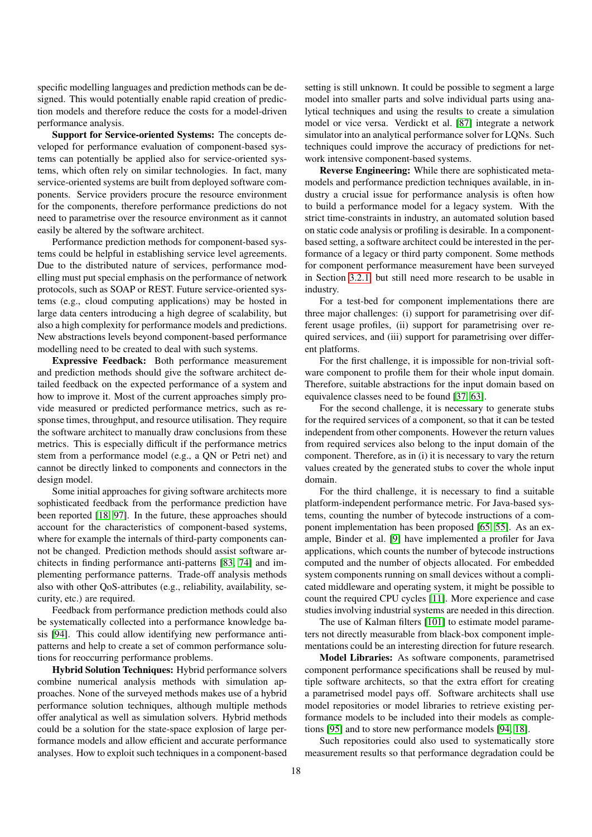specific modelling languages and prediction methods can be designed. This would potentially enable rapid creation of prediction models and therefore reduce the costs for a model-driven performance analysis.

Support for Service-oriented Systems: The concepts developed for performance evaluation of component-based systems can potentially be applied also for service-oriented systems, which often rely on similar technologies. In fact, many service-oriented systems are built from deployed software components. Service providers procure the resource environment for the components, therefore performance predictions do not need to parametrise over the resource environment as it cannot easily be altered by the software architect.

Performance prediction methods for component-based systems could be helpful in establishing service level agreements. Due to the distributed nature of services, performance modelling must put special emphasis on the performance of network protocols, such as SOAP or REST. Future service-oriented systems (e.g., cloud computing applications) may be hosted in large data centers introducing a high degree of scalability, but also a high complexity for performance models and predictions. New abstractions levels beyond component-based performance modelling need to be created to deal with such systems.

Expressive Feedback: Both performance measurement and prediction methods should give the software architect detailed feedback on the expected performance of a system and how to improve it. Most of the current approaches simply provide measured or predicted performance metrics, such as response times, throughput, and resource utilisation. They require the software architect to manually draw conclusions from these metrics. This is especially difficult if the performance metrics stem from a performance model (e.g., a QN or Petri net) and cannot be directly linked to components and connectors in the design model.

Some initial approaches for giving software architects more sophisticated feedback from the performance prediction have been reported [\[18,](#page-19-33) [97\]](#page-21-19). In the future, these approaches should account for the characteristics of component-based systems, where for example the internals of third-party components cannot be changed. Prediction methods should assist software architects in finding performance anti-patterns [\[83,](#page-21-7) [74\]](#page-20-32) and implementing performance patterns. Trade-off analysis methods also with other QoS-attributes (e.g., reliability, availability, security, etc.) are required.

Feedback from performance prediction methods could also be systematically collected into a performance knowledge basis [\[94\]](#page-21-4). This could allow identifying new performance antipatterns and help to create a set of common performance solutions for reoccurring performance problems.

Hybrid Solution Techniques: Hybrid performance solvers combine numerical analysis methods with simulation approaches. None of the surveyed methods makes use of a hybrid performance solution techniques, although multiple methods offer analytical as well as simulation solvers. Hybrid methods could be a solution for the state-space explosion of large performance models and allow efficient and accurate performance analyses. How to exploit such techniques in a component-based

setting is still unknown. It could be possible to segment a large model into smaller parts and solve individual parts using analytical techniques and using the results to create a simulation model or vice versa. Verdickt et al. [\[87\]](#page-21-21) integrate a network simulator into an analytical performance solver for LQNs. Such techniques could improve the accuracy of predictions for network intensive component-based systems.

Reverse Engineering: While there are sophisticated metamodels and performance prediction techniques available, in industry a crucial issue for performance analysis is often how to build a performance model for a legacy system. With the strict time-constraints in industry, an automated solution based on static code analysis or profiling is desirable. In a componentbased setting, a software architect could be interested in the performance of a legacy or third party component. Some methods for component performance measurement have been surveyed in Section [3.2.1,](#page-10-0) but still need more research to be usable in industry.

For a test-bed for component implementations there are three major challenges: (i) support for parametrising over different usage profiles, (ii) support for parametrising over required services, and (iii) support for parametrising over different platforms.

For the first challenge, it is impossible for non-trivial software component to profile them for their whole input domain. Therefore, suitable abstractions for the input domain based on equivalence classes need to be found [\[37,](#page-20-39) [63\]](#page-20-21).

For the second challenge, it is necessary to generate stubs for the required services of a component, so that it can be tested independent from other components. However the return values from required services also belong to the input domain of the component. Therefore, as in (i) it is necessary to vary the return values created by the generated stubs to cover the whole input domain.

For the third challenge, it is necessary to find a suitable platform-independent performance metric. For Java-based systems, counting the number of bytecode instructions of a component implementation has been proposed [\[65,](#page-20-20) [55\]](#page-20-23). As an example, Binder et al. [\[9\]](#page-19-34) have implemented a profiler for Java applications, which counts the number of bytecode instructions computed and the number of objects allocated. For embedded system components running on small devices without a complicated middleware and operating system, it might be possible to count the required CPU cycles [\[11\]](#page-19-29). More experience and case studies involving industrial systems are needed in this direction.

The use of Kalman filters [\[101\]](#page-21-22) to estimate model parameters not directly measurable from black-box component implementations could be an interesting direction for future research.

Model Libraries: As software components, parametrised component performance specifications shall be reused by multiple software architects, so that the extra effort for creating a parametrised model pays off. Software architects shall use model repositories or model libraries to retrieve existing performance models to be included into their models as completions [\[95\]](#page-21-17) and to store new performance models [\[94,](#page-21-4) [18\]](#page-19-33).

Such repositories could also used to systematically store measurement results so that performance degradation could be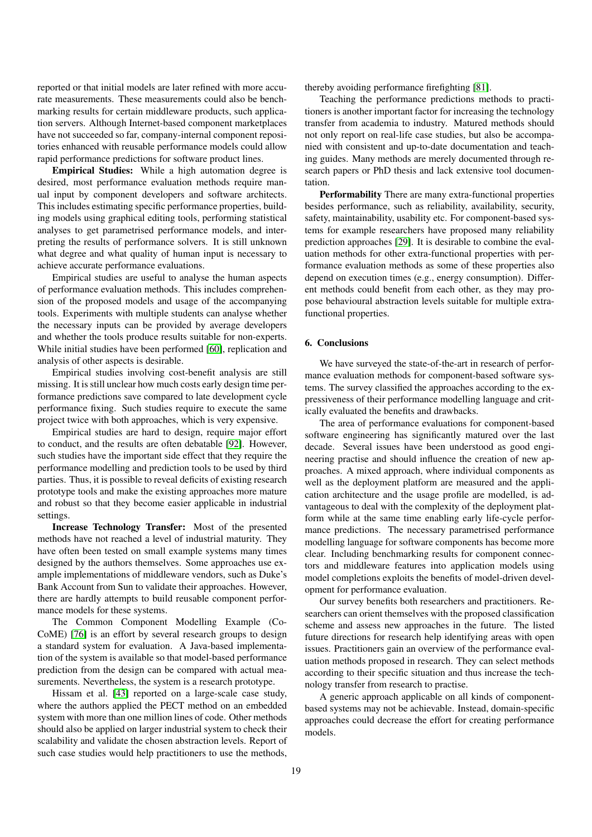reported or that initial models are later refined with more accurate measurements. These measurements could also be benchmarking results for certain middleware products, such application servers. Although Internet-based component marketplaces have not succeeded so far, company-internal component repositories enhanced with reusable performance models could allow rapid performance predictions for software product lines.

Empirical Studies: While a high automation degree is desired, most performance evaluation methods require manual input by component developers and software architects. This includes estimating specific performance properties, building models using graphical editing tools, performing statistical analyses to get parametrised performance models, and interpreting the results of performance solvers. It is still unknown what degree and what quality of human input is necessary to achieve accurate performance evaluations.

Empirical studies are useful to analyse the human aspects of performance evaluation methods. This includes comprehension of the proposed models and usage of the accompanying tools. Experiments with multiple students can analyse whether the necessary inputs can be provided by average developers and whether the tools produce results suitable for non-experts. While initial studies have been performed [\[60\]](#page-20-37), replication and analysis of other aspects is desirable.

Empirical studies involving cost-benefit analysis are still missing. It is still unclear how much costs early design time performance predictions save compared to late development cycle performance fixing. Such studies require to execute the same project twice with both approaches, which is very expensive.

Empirical studies are hard to design, require major effort to conduct, and the results are often debatable [\[92\]](#page-21-23). However, such studies have the important side effect that they require the performance modelling and prediction tools to be used by third parties. Thus, it is possible to reveal deficits of existing research prototype tools and make the existing approaches more mature and robust so that they become easier applicable in industrial settings.

Increase Technology Transfer: Most of the presented methods have not reached a level of industrial maturity. They have often been tested on small example systems many times designed by the authors themselves. Some approaches use example implementations of middleware vendors, such as Duke's Bank Account from Sun to validate their approaches. However, there are hardly attempts to build reusable component performance models for these systems.

The Common Component Modelling Example (Co-CoME) [\[76\]](#page-20-40) is an effort by several research groups to design a standard system for evaluation. A Java-based implementation of the system is available so that model-based performance prediction from the design can be compared with actual measurements. Nevertheless, the system is a research prototype.

Hissam et al. [\[43\]](#page-20-19) reported on a large-scale case study, where the authors applied the PECT method on an embedded system with more than one million lines of code. Other methods should also be applied on larger industrial system to check their scalability and validate the chosen abstraction levels. Report of such case studies would help practitioners to use the methods,

thereby avoiding performance firefighting [\[81\]](#page-21-24).

Teaching the performance predictions methods to practitioners is another important factor for increasing the technology transfer from academia to industry. Matured methods should not only report on real-life case studies, but also be accompanied with consistent and up-to-date documentation and teaching guides. Many methods are merely documented through research papers or PhD thesis and lack extensive tool documentation.

Performability There are many extra-functional properties besides performance, such as reliability, availability, security, safety, maintainability, usability etc. For component-based systems for example researchers have proposed many reliability prediction approaches [\[29\]](#page-19-35). It is desirable to combine the evaluation methods for other extra-functional properties with performance evaluation methods as some of these properties also depend on execution times (e.g., energy consumption). Different methods could benefit from each other, as they may propose behavioural abstraction levels suitable for multiple extrafunctional properties.

### 6. Conclusions

We have surveyed the state-of-the-art in research of performance evaluation methods for component-based software systems. The survey classified the approaches according to the expressiveness of their performance modelling language and critically evaluated the benefits and drawbacks.

The area of performance evaluations for component-based software engineering has significantly matured over the last decade. Several issues have been understood as good engineering practise and should influence the creation of new approaches. A mixed approach, where individual components as well as the deployment platform are measured and the application architecture and the usage profile are modelled, is advantageous to deal with the complexity of the deployment platform while at the same time enabling early life-cycle performance predictions. The necessary parametrised performance modelling language for software components has become more clear. Including benchmarking results for component connectors and middleware features into application models using model completions exploits the benefits of model-driven development for performance evaluation.

Our survey benefits both researchers and practitioners. Researchers can orient themselves with the proposed classification scheme and assess new approaches in the future. The listed future directions for research help identifying areas with open issues. Practitioners gain an overview of the performance evaluation methods proposed in research. They can select methods according to their specific situation and thus increase the technology transfer from research to practise.

A generic approach applicable on all kinds of componentbased systems may not be achievable. Instead, domain-specific approaches could decrease the effort for creating performance models.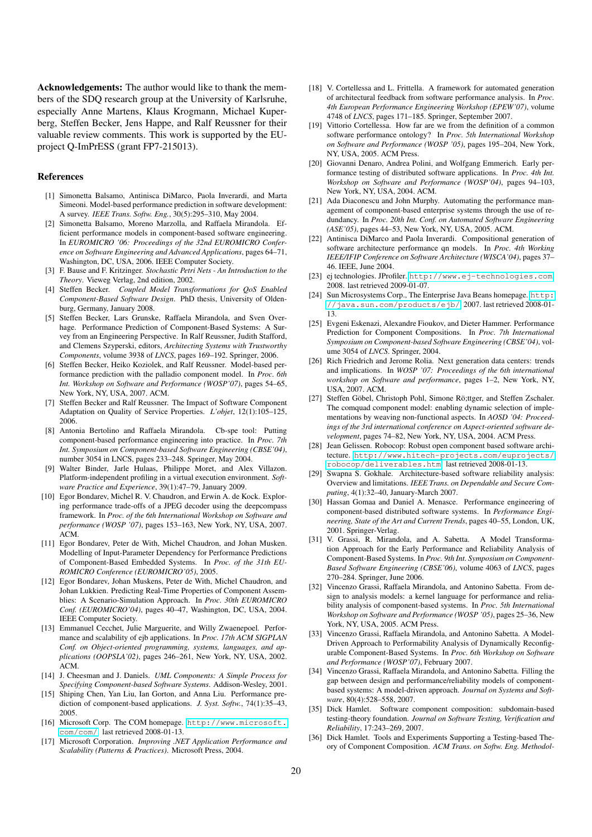Acknowledgements: The author would like to thank the members of the SDQ research group at the University of Karlsruhe, especially Anne Martens, Klaus Krogmann, Michael Kuperberg, Steffen Becker, Jens Happe, and Ralf Reussner for their valuable review comments. This work is supported by the EUproject Q-ImPrESS (grant FP7-215013).

### References

- <span id="page-19-2"></span>[1] Simonetta Balsamo, Antinisca DiMarco, Paola Inverardi, and Marta Simeoni. Model-based performance prediction in software development: A survey. *IEEE Trans. Softw. Eng.*, 30(5):295–310, May 2004.
- <span id="page-19-11"></span>[2] Simonetta Balsamo, Moreno Marzolla, and Raffaela Mirandola. Efficient performance models in component-based software engineering. In *EUROMICRO '06: Proceedings of the 32nd EUROMICRO Conference on Software Engineering and Advanced Applications*, pages 64–71, Washington, DC, USA, 2006. IEEE Computer Society.
- <span id="page-19-0"></span>[3] F. Bause and F. Kritzinger. *Stochastic Petri Nets - An Introduction to the Theory*. Vieweg Verlag, 2nd edition, 2002.
- <span id="page-19-19"></span>[4] Steffen Becker. *Coupled Model Transformations for QoS Enabled Component-Based Software Design*. PhD thesis, University of Oldenburg, Germany, January 2008.
- <span id="page-19-3"></span>[5] Steffen Becker, Lars Grunske, Raffaela Mirandola, and Sven Overhage. Performance Prediction of Component-Based Systems: A Survey from an Engineering Perspective. In Ralf Reussner, Judith Stafford, and Clemens Szyperski, editors, *Architecting Systems with Trustworthy Components*, volume 3938 of *LNCS*, pages 169–192. Springer, 2006.
- <span id="page-19-18"></span>[6] Steffen Becker, Heiko Koziolek, and Ralf Reussner. Model-based performance prediction with the palladio component model. In *Proc. 6th Int. Workshop on Software and Performance (WOSP'07)*, pages 54–65, New York, NY, USA, 2007. ACM.
- <span id="page-19-8"></span>[7] Steffen Becker and Ralf Reussner. The Impact of Software Component Adaptation on Quality of Service Properties. *L'objet*, 12(1):105–125, 2006.
- <span id="page-19-10"></span>[8] Antonia Bertolino and Raffaela Mirandola. Cb-spe tool: Putting component-based performance engineering into practice. In *Proc. 7th Int. Symposium on Component-based Software Engineering (CBSE'04)*, number 3054 in LNCS, pages 233–248. Springer, May 2004.
- <span id="page-19-34"></span>[9] Walter Binder, Jarle Hulaas, Philippe Moret, and Alex Villazon. Platform-independent profiling in a virtual execution environment. *Software Practice and Experience*, 39(1):47–79, January 2009.
- <span id="page-19-17"></span>[10] Egor Bondarev, Michel R. V. Chaudron, and Erwin A. de Kock. Exploring performance trade-offs of a JPEG decoder using the deepcompass framework. In *Proc. of the 6th International Workshop on Software and performance (WOSP '07)*, pages 153–163, New York, NY, USA, 2007.  $ACM$
- <span id="page-19-29"></span>[11] Egor Bondarev, Peter de With, Michel Chaudron, and Johan Musken. Modelling of Input-Parameter Dependency for Performance Predictions of Component-Based Embedded Systems. In *Proc. of the 31th EU-ROMICRO Conference (EUROMICRO'05)*, 2005.
- <span id="page-19-15"></span>[12] Egor Bondarev, Johan Muskens, Peter de With, Michel Chaudron, and Johan Lukkien. Predicting Real-Time Properties of Component Assemblies: A Scenario-Simulation Approach. In *Proc. 30th EUROMICRO Conf. (EUROMICRO'04)*, pages 40–47, Washington, DC, USA, 2004. IEEE Computer Society.
- <span id="page-19-20"></span>[13] Emmanuel Cecchet, Julie Marguerite, and Willy Zwaenepoel. Performance and scalability of ejb applications. In *Proc. 17th ACM SIGPLAN Conf. on Object-oriented programming, systems, languages, and applications (OOPSLA'02)*, pages 246–261, New York, NY, USA, 2002. ACM.
- <span id="page-19-9"></span>[14] J. Cheesman and J. Daniels. *UML Components: A Simple Process for Specifying Component-based Software Systems*. Addison-Wesley, 2001.
- <span id="page-19-22"></span>[15] Shiping Chen, Yan Liu, Ian Gorton, and Anna Liu. Performance prediction of component-based applications. *J. Syst. Softw.*, 74(1):35–43, 2005.
- <span id="page-19-6"></span>[16] Microsoft Corp. The COM homepage. [http://www.microsoft.](http://www.microsoft.com/com/) [com/com/](http://www.microsoft.com/com/). last retrieved 2008-01-13.
- <span id="page-19-1"></span>[17] Microsoft Corporation. *Improving .NET Application Performance and Scalability (Patterns & Practices)*. Microsoft Press, 2004.
- <span id="page-19-33"></span>[18] V. Cortellessa and L. Frittella. A framework for automated generation of architectural feedback from software performance analysis. In *Proc. 4th European Performance Engineering Workshop (EPEW'07)*, volume 4748 of *LNCS*, pages 171–185. Springer, September 2007.
- <span id="page-19-28"></span>[19] Vittorio Cortellessa. How far are we from the definition of a common software performance ontology? In *Proc. 5th International Workshop on Software and Performance (WOSP '05)*, pages 195–204, New York, NY, USA, 2005. ACM Press.
- <span id="page-19-21"></span>[20] Giovanni Denaro, Andrea Polini, and Wolfgang Emmerich. Early performance testing of distributed software applications. In *Proc. 4th Int. Workshop on Software and Performance (WOSP'04)*, pages 94–103, New York, NY, USA, 2004. ACM.
- <span id="page-19-25"></span>[21] Ada Diaconescu and John Murphy. Automating the performance management of component-based enterprise systems through the use of redundancy. In *Proc. 20th Int. Conf. on Automated Software Engineering (ASE'05)*, pages 44–53, New York, NY, USA, 2005. ACM.
- <span id="page-19-4"></span>[22] Antinisca DiMarco and Paola Inverardi. Compositional generation of software architecture performance qn models. In *Proc. 4th Working IEEE/IFIP Conference on Software Architecture (WISCA'04)*, pages 37– 46. IEEE, June 2004.
- <span id="page-19-30"></span>[23] ej technologies. JProfiler. <http://www.ej-technologies.com>, 2008. last retrieved 2009-01-07.
- <span id="page-19-7"></span>[24] Sun Microsystems Corp., The Enterprise Java Beans homepage. [http:](http://java.sun.com/products/ejb/) [//java.sun.com/products/ejb/](http://java.sun.com/products/ejb/), 2007. last retrieved 2008-01- 13.
- <span id="page-19-27"></span>[25] Evgeni Eskenazi, Alexandre Fioukov, and Dieter Hammer. Performance Prediction for Component Compositions. In *Proc. 7th International Symposium on Component-based Software Engineering (CBSE'04)*, volume 3054 of *LNCS*. Springer, 2004.
- <span id="page-19-31"></span>[26] Rich Friedrich and Jerome Rolia. Next generation data centers: trends and implications. In *WOSP '07: Proceedings of the 6th international workshop on Software and performance*, pages 1–2, New York, NY, USA, 2007. ACM.
- <span id="page-19-12"></span>[27] Steffen Göbel, Christoph Pohl, Simone Rö;ttger, and Steffen Zschaler. The comquad component model: enabling dynamic selection of implementations by weaving non-functional aspects. In *AOSD '04: Proceedings of the 3rd international conference on Aspect-oriented software development*, pages 74–82, New York, NY, USA, 2004. ACM Press.
- <span id="page-19-16"></span>[28] Jean Gelissen. Robocop: Robust open component based software architecture. [http://www.hitech-projects.com/euprojects/](http://www.hitech-projects.com/euprojects/robocop/deliverables.htm) [robocop/deliverables.htm](http://www.hitech-projects.com/euprojects/robocop/deliverables.htm). last retrieved 2008-01-13.
- <span id="page-19-35"></span>[29] Swapna S. Gokhale. Architecture-based software reliability analysis: Overview and limitations. *IEEE Trans. on Dependable and Secure Computing*, 4(1):32–40, January-March 2007.
- <span id="page-19-5"></span>[30] Hassan Gomaa and Daniel A. Menasce. Performance engineering of component-based distributed software systems. In *Performance Engineering, State of the Art and Current Trends*, pages 40–55, London, UK, 2001. Springer-Verlag.
- <span id="page-19-26"></span>[31] V. Grassi, R. Mirandola, and A. Sabetta. A Model Transformation Approach for the Early Performance and Reliability Analysis of Component-Based Systems. In *Proc. 9th Int. Symposium on Component-Based Software Engineering (CBSE'06)*, volume 4063 of *LNCS*, pages 270–284. Springer, June 2006.
- <span id="page-19-13"></span>[32] Vincenzo Grassi, Raffaela Mirandola, and Antonino Sabetta. From design to analysis models: a kernel language for performance and reliability analysis of component-based systems. In *Proc. 5th International Workshop on Software and Performance (WOSP '05)*, pages 25–36, New York, NY, USA, 2005. ACM Press.
- <span id="page-19-32"></span>[33] Vincenzo Grassi, Raffaela Mirandola, and Antonino Sabetta, A Model-Driven Approach to Performability Analysis of Dynamically Reconfigurable Component-Based Systems. In *Proc. 6th Workshop on Software and Performance (WOSP'07)*, February 2007.
- <span id="page-19-14"></span>[34] Vincenzo Grassi, Raffaela Mirandola, and Antonino Sabetta. Filling the gap between design and performance/reliability models of componentbased systems: A model-driven approach. *Journal on Systems and Software*, 80(4):528–558, 2007.
- <span id="page-19-24"></span>[35] Dick Hamlet. Software component composition: subdomain-based testing-theory foundation. *Journal on Software Testing, Verification and Reliability*, 17:243–269, 2007.
- <span id="page-19-23"></span>[36] Dick Hamlet. Tools and Experiments Supporting a Testing-based Theory of Component Composition. *ACM Trans. on Softw. Eng. Methodol-*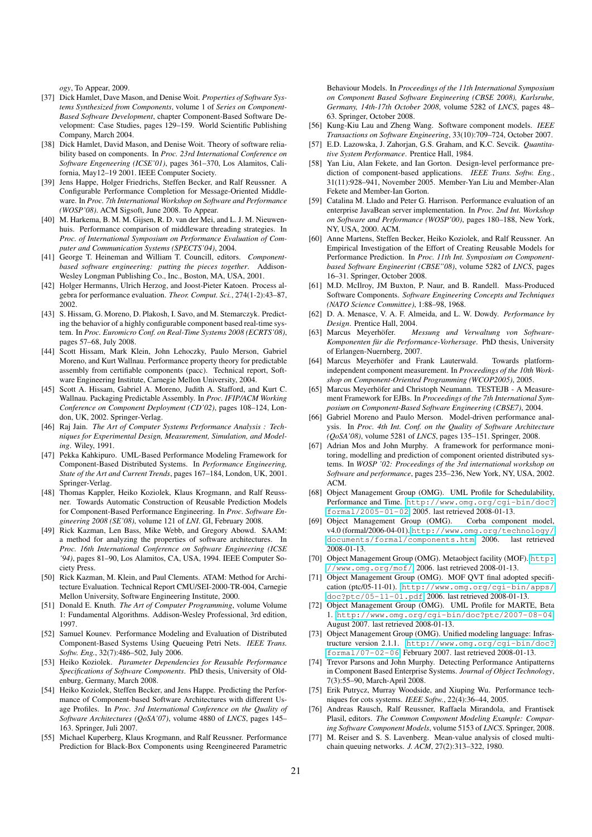*ogy*, To Appear, 2009.

- <span id="page-20-39"></span>[37] Dick Hamlet, Dave Mason, and Denise Woit. *Properties of Software Systems Synthesized from Components*, volume 1 of *Series on Component-Based Software Development*, chapter Component-Based Software Development: Case Studies, pages 129–159. World Scientific Publishing Company, March 2004.
- <span id="page-20-29"></span>[38] Dick Hamlet, David Mason, and Denise Woit. Theory of software reliability based on components. In *Proc. 23rd International Conference on Software Engeneering (ICSE'01)*, pages 361–370, Los Alamitos, California, May12–19 2001. IEEE Computer Society.
- <span id="page-20-24"></span>[39] Jens Happe, Holger Friedrichs, Steffen Becker, and Ralf Reussner. A Configurable Performance Completion for Message-Oriented Middleware. In *Proc. 7th International Workshop on Software and Performance (WOSP'08)*. ACM Sigsoft, June 2008. To Appear.
- <span id="page-20-6"></span>[40] M. Harkema, B. M. M. Gijsen, R. D. van der Mei, and L. J. M. Nieuwenhuis. Performance comparison of middleware threading strategies. In *Proc. of International Symposium on Performance Evaluation of Computer and Communication Systems (SPECTS'04)*, 2004.
- <span id="page-20-0"></span>[41] George T. Heineman and William T. Councill, editors. *Componentbased software engineering: putting the pieces together*. Addison-Wesley Longman Publishing Co., Inc., Boston, MA, USA, 2001.
- <span id="page-20-2"></span>[42] Holger Hermanns, Ulrich Herzog, and Joost-Pieter Katoen. Process algebra for performance evaluation. *Theor. Comput. Sci.*, 274(1-2):43–87, 2002.
- <span id="page-20-19"></span>[43] S. Hissam, G. Moreno, D. Plakosh, I. Savo, and M. Stemarczyk. Predicting the behavior of a highly configurable component based real-time system. In *Proc. Euromicro Conf. on Real-Time Systems 2008 (ECRTS'08)*, pages 57–68, July 2008.
- <span id="page-20-17"></span>[44] Scott Hissam, Mark Klein, John Lehoczky, Paulo Merson, Gabriel Moreno, and Kurt Wallnau. Performance property theory for predictable assembly from certifiable components (pacc). Technical report, Software Engineering Institute, Carnegie Mellon University, 2004.
- <span id="page-20-16"></span>[45] Scott A. Hissam, Gabriel A. Moreno, Judith A. Stafford, and Kurt C. Wallnau. Packaging Predictable Assembly. In *Proc. IFIP/ACM Working Conference on Component Deployment (CD'02)*, pages 108–124, London, UK, 2002. Springer-Verlag.
- <span id="page-20-36"></span>[46] Raj Jain. *The Art of Computer Systems Performance Analysis : Techniques for Experimental Design, Measurement, Simulation, and Modeling*. Wiley, 1991.
- <span id="page-20-15"></span>[47] Pekka Kahkipuro. UML-Based Performance Modeling Framework for Component-Based Distributed Systems. In *Performance Engineering, State of the Art and Current Trends*, pages 167–184, London, UK, 2001. Springer-Verlag.
- <span id="page-20-11"></span>[48] Thomas Kappler, Heiko Koziolek, Klaus Krogmann, and Ralf Reussner. Towards Automatic Construction of Reusable Prediction Models for Component-Based Performance Engineering. In *Proc. Software Engineering 2008 (SE'08)*, volume 121 of *LNI*. GI, February 2008.
- <span id="page-20-5"></span>[49] Rick Kazman, Len Bass, Mike Webb, and Gregory Abowd. SAAM: a method for analyzing the properties of software architectures. In *Proc. 16th International Conference on Software Engineering (ICSE '94)*, pages 81–90, Los Alamitos, CA, USA, 1994. IEEE Computer Society Press.
- <span id="page-20-4"></span>[50] Rick Kazman, M. Klein, and Paul Clements. ATAM: Method for Architecture Evaluation. Technical Report CMU/SEI-2000-TR-004, Carnegie Mellon University, Software Engineering Institute, 2000.
- <span id="page-20-28"></span>[51] Donald E. Knuth. *The Art of Computer Programming*, volume Volume 1: Fundamental Algorithms. Addison-Wesley Professional, 3rd edition, 1997.
- <span id="page-20-7"></span>[52] Samuel Kounev. Performance Modeling and Evaluation of Distributed Component-Based Systems Using Queueing Petri Nets. *IEEE Trans. Softw. Eng.*, 32(7):486–502, July 2006.
- <span id="page-20-22"></span>[53] Heiko Koziolek. *Parameter Dependencies for Reusable Performance Specifications of Software Components*. PhD thesis, University of Oldenburg, Germany, March 2008.
- <span id="page-20-38"></span>[54] Heiko Koziolek, Steffen Becker, and Jens Happe. Predicting the Performance of Component-based Software Architectures with different Usage Profiles. In *Proc. 3rd International Conference on the Quality of Software Architectures (QoSA'07)*, volume 4880 of *LNCS*, pages 145– 163. Springer, Juli 2007.
- <span id="page-20-23"></span>[55] Michael Kuperberg, Klaus Krogmann, and Ralf Reussner. Performance Prediction for Black-Box Components using Reengineered Parametric

Behaviour Models. In *Proceedings of the 11th International Symposium on Component Based Software Engineering (CBSE 2008), Karlsruhe, Germany, 14th-17th October 2008*, volume 5282 of *LNCS*, pages 48– 63. Springer, October 2008.

- <span id="page-20-10"></span>[56] Kung-Kiu Lau and Zheng Wang. Software component models. *IEEE Transactions on Software Engineering*, 33(10):709–724, October 2007.
- <span id="page-20-1"></span>[57] E.D. Lazowska, J. Zahorjan, G.S. Graham, and K.C. Sevcik. *Quantitative System Performance*. Prentice Hall, 1984.
- <span id="page-20-26"></span>[58] Yan Liu, Alan Fekete, and Ian Gorton. Design-level performance prediction of component-based applications. *IEEE Trans. Softw. Eng.*, 31(11):928–941, November 2005. Member-Yan Liu and Member-Alan Fekete and Member-Ian Gorton.
- <span id="page-20-25"></span>[59] Catalina M. Llado and Peter G. Harrison. Performance evaluation of an enterprise JavaBean server implementation. In *Proc. 2nd Int. Workshop on Software and Performance (WOSP'00)*, pages 180–188, New York, NY, USA, 2000. ACM.
- <span id="page-20-37"></span>[60] Anne Martens, Steffen Becker, Heiko Koziolek, and Ralf Reussner. An Empirical Investigation of the Effort of Creating Reusable Models for Performance Prediction. In *Proc. 11th Int. Symposium on Componentbased Software Engineerint (CBSE"08)*, volume 5282 of *LNCS*, pages 16–31. Springer, October 2008.
- <span id="page-20-8"></span>[61] M.D. McIlroy, JM Buxton, P. Naur, and B. Randell. Mass-Produced Software Components. *Software Engineering Concepts and Techniques (NATO Science Committee)*, 1:88–98, 1968.
- <span id="page-20-34"></span>[62] D. A. Menasce, V. A. F. Almeida, and L. W. Dowdy. *Performance by Design*. Prentice Hall, 2004.
- <span id="page-20-21"></span>[63] Marcus Meyerhöfer. Messung und Verwaltung von Software-Komponenten für die Performance-Vorhersage. PhD thesis, University of Erlangen-Nuernberg, 2007.
- <span id="page-20-31"></span>[64] Marcus Meyerhöfer and Frank Lauterwald. Towards platformindependent component measurement. In *Proceedings of the 10th Workshop on Component-Oriented Programming (WCOP2005)*, 2005.
- <span id="page-20-20"></span>[65] Marcus Meyerhöfer and Christoph Neumann. TESTEJB - A Measurement Framework for EJBs. In *Proceedings of the 7th International Symposium on Component-Based Software Engineering (CBSE7)*, 2004.
- <span id="page-20-18"></span>[66] Gabriel Moreno and Paulo Merson. Model-driven performance analysis. In *Proc. 4th Int. Conf. on the Quality of Software Architecture (QoSA'08)*, volume 5281 of *LNCS*, pages 135–151. Springer, 2008.
- <span id="page-20-30"></span>[67] Adrian Mos and John Murphy. A framework for performance monitoring, modelling and prediction of component oriented distributed systems. In *WOSP '02: Proceedings of the 3rd international workshop on Software and performance*, pages 235–236, New York, NY, USA, 2002. ACM.
- <span id="page-20-13"></span>[68] Object Management Group (OMG). UML Profile for Schedulability, Performance and Time. [http://www.omg.org/cgi-bin/doc?](http://www.omg.org/cgi-bin/doc?formal/2005-01-02) [formal/2005-01-02](http://www.omg.org/cgi-bin/doc?formal/2005-01-02), 2005. last retrieved 2008-01-13.
- <span id="page-20-9"></span>[69] Object Management Group (OMG). Corba component model, v4.0 (formal/2006-04-01). [http://www.omg.org/technology/](http://www.omg.org/technology/documents/formal/components.htm) [documents/formal/components.htm](http://www.omg.org/technology/documents/formal/components.htm), 2006. last retrieved 2008-01-13.
- <span id="page-20-33"></span>[70] Object Management Group (OMG). Metaobject facility (MOF). [http:](http://www.omg.org/mof/) [//www.omg.org/mof/](http://www.omg.org/mof/), 2006. last retrieved 2008-01-13.
- <span id="page-20-35"></span>[71] Object Management Group (OMG). MOF QVT final adopted specification (ptc/05-11-01). [http://www.omg.org/cgi-bin/apps/](http://www.omg.org/cgi-bin/apps/doc?ptc/05-11-01.pdf) [doc?ptc/05-11-01.pdf](http://www.omg.org/cgi-bin/apps/doc?ptc/05-11-01.pdf), 2006. last retrieved 2008-01-13.
- <span id="page-20-14"></span>[72] Object Management Group (OMG). UML Profile for MARTE, Beta 1. <http://www.omg.org/cgi-bin/doc?ptc/2007-08-04>, August 2007. last retrieved 2008-01-13.
- <span id="page-20-12"></span>[73] Object Management Group (OMG). Unified modeling language: Infrastructure version 2.1.1. [http://www.omg.org/cgi-bin/doc?](http://www.omg.org/cgi-bin/doc?formal/07-02-06) [formal/07-02-06](http://www.omg.org/cgi-bin/doc?formal/07-02-06), February 2007. last retrieved 2008-01-13.
- <span id="page-20-32"></span>[74] Trevor Parsons and John Murphy. Detecting Performance Antipatterns in Component Based Enterprise Systems. *Journal of Object Technology*, 7(3):55–90, March-April 2008.
- <span id="page-20-3"></span>[75] Erik Putrycz, Murray Woodside, and Xiuping Wu. Performance techniques for cots systems. *IEEE Softw.*, 22(4):36–44, 2005.
- <span id="page-20-40"></span>[76] Andreas Rausch, Ralf Reussner, Raffaela Mirandola, and Frantisek Plasil, editors. *The Common Component Modeling Example: Comparing Software Component Models*, volume 5153 of *LNCS*. Springer, 2008.
- <span id="page-20-27"></span>[77] M. Reiser and S. S. Lavenberg. Mean-value analysis of closed multichain queuing networks. *J. ACM*, 27(2):313–322, 1980.